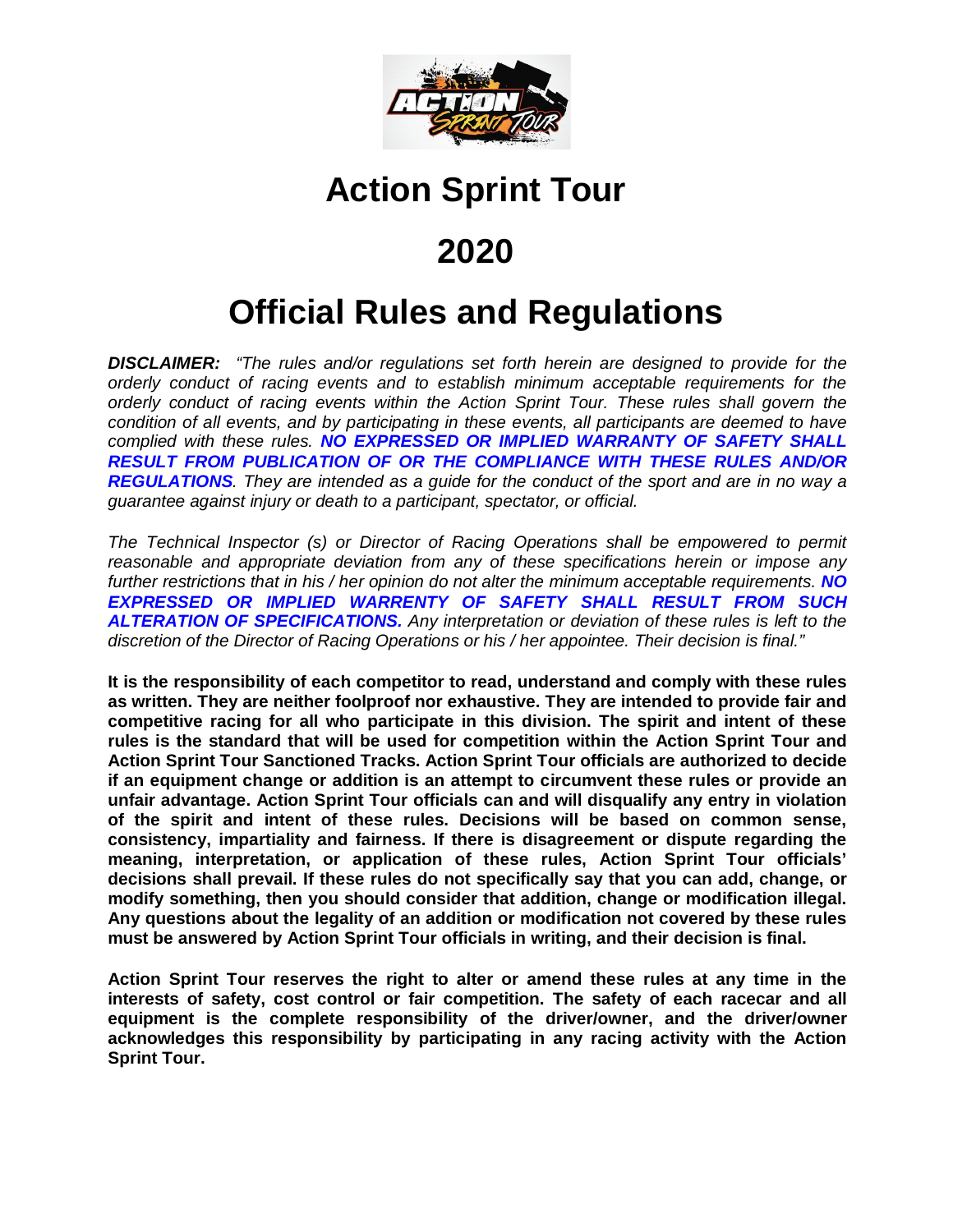

# **Action Sprint Tour**

# **2020**

# **Official Rules and Regulations**

*DISCLAIMER: "The rules and/or regulations set forth herein are designed to provide for the orderly conduct of racing events and to establish minimum acceptable requirements for the orderly conduct of racing events within the Action Sprint Tour. These rules shall govern the condition of all events, and by participating in these events, all participants are deemed to have complied with these rules. NO EXPRESSED OR IMPLIED WARRANTY OF SAFETY SHALL RESULT FROM PUBLICATION OF OR THE COMPLIANCE WITH THESE RULES AND/OR REGULATIONS. They are intended as a guide for the conduct of the sport and are in no way a guarantee against injury or death to a participant, spectator, or official.*

*The Technical Inspector (s) or Director of Racing Operations shall be empowered to permit reasonable and appropriate deviation from any of these specifications herein or impose any further restrictions that in his / her opinion do not alter the minimum acceptable requirements. NO EXPRESSED OR IMPLIED WARRENTY OF SAFETY SHALL RESULT FROM SUCH ALTERATION OF SPECIFICATIONS. Any interpretation or deviation of these rules is left to the discretion of the Director of Racing Operations or his / her appointee. Their decision is final."*

**It is the responsibility of each competitor to read, understand and comply with these rules as written. They are neither foolproof nor exhaustive. They are intended to provide fair and competitive racing for all who participate in this division. The spirit and intent of these rules is the standard that will be used for competition within the Action Sprint Tour and Action Sprint Tour Sanctioned Tracks. Action Sprint Tour officials are authorized to decide if an equipment change or addition is an attempt to circumvent these rules or provide an unfair advantage. Action Sprint Tour officials can and will disqualify any entry in violation of the spirit and intent of these rules. Decisions will be based on common sense, consistency, impartiality and fairness. If there is disagreement or dispute regarding the meaning, interpretation, or application of these rules, Action Sprint Tour officials' decisions shall prevail. If these rules do not specifically say that you can add, change, or modify something, then you should consider that addition, change or modification illegal. Any questions about the legality of an addition or modification not covered by these rules must be answered by Action Sprint Tour officials in writing, and their decision is final.**

**Action Sprint Tour reserves the right to alter or amend these rules at any time in the interests of safety, cost control or fair competition. The safety of each racecar and all equipment is the complete responsibility of the driver/owner, and the driver/owner acknowledges this responsibility by participating in any racing activity with the Action Sprint Tour.**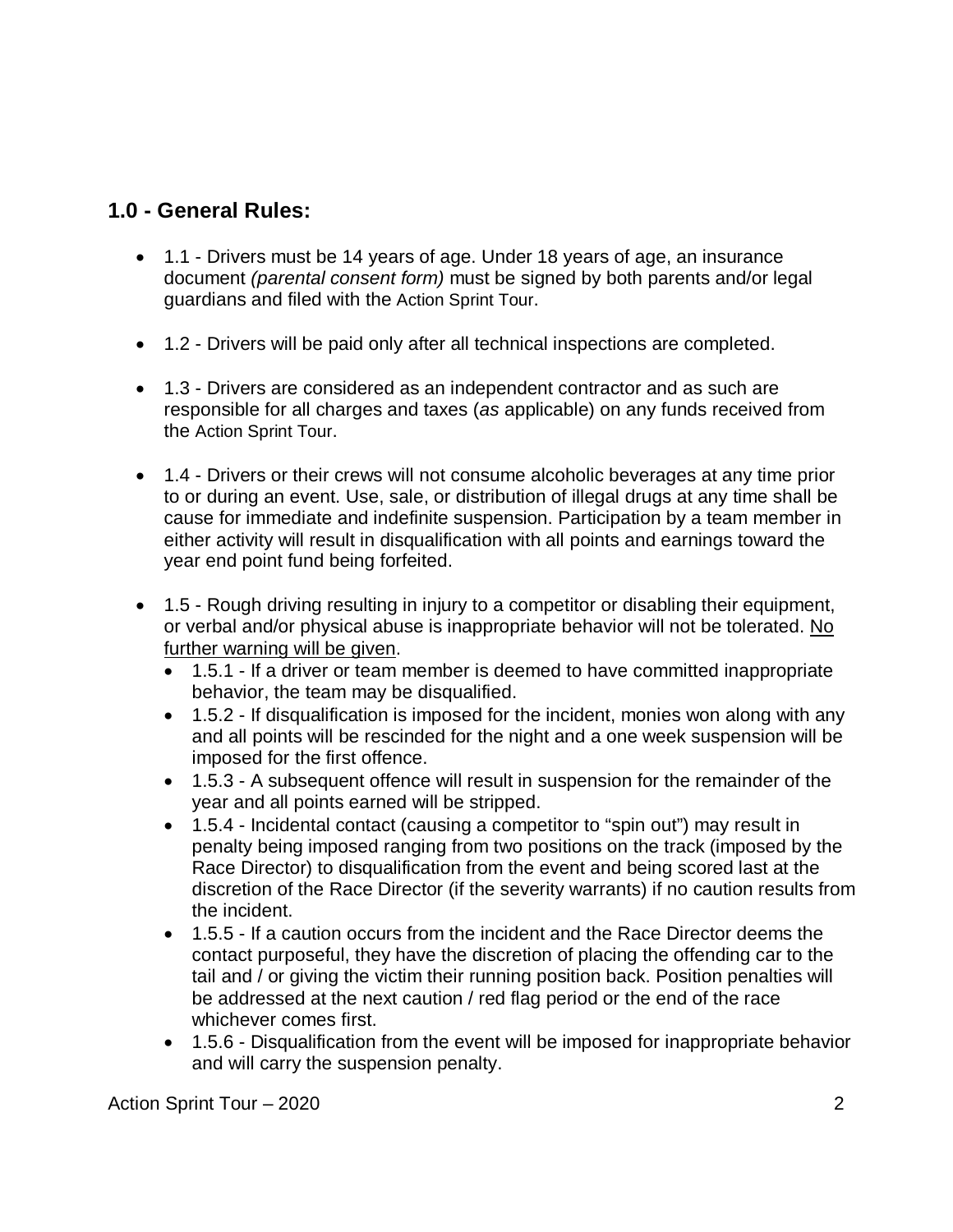# **1.0 - General Rules:**

- 1.1 Drivers must be 14 years of age. Under 18 years of age, an insurance document *(parental consent form)* must be signed by both parents and/or legal guardians and filed with the Action Sprint Tour.
- 1.2 Drivers will be paid only after all technical inspections are completed.
- 1.3 Drivers are considered as an independent contractor and as such are responsible for all charges and taxes (*as* applicable) on any funds received from the Action Sprint Tour.
- 1.4 Drivers or their crews will not consume alcoholic beverages at any time prior to or during an event. Use, sale, or distribution of illegal drugs at any time shall be cause for immediate and indefinite suspension. Participation by a team member in either activity will result in disqualification with all points and earnings toward the year end point fund being forfeited.
- 1.5 Rough driving resulting in injury to a competitor or disabling their equipment, or verbal and/or physical abuse is inappropriate behavior will not be tolerated. No further warning will be given.
	- 1.5.1 If a driver or team member is deemed to have committed inappropriate behavior, the team may be disqualified.
	- 1.5.2 If disqualification is imposed for the incident, monies won along with any and all points will be rescinded for the night and a one week suspension will be imposed for the first offence.
	- 1.5.3 A subsequent offence will result in suspension for the remainder of the year and all points earned will be stripped.
	- 1.5.4 Incidental contact (causing a competitor to "spin out") may result in penalty being imposed ranging from two positions on the track (imposed by the Race Director) to disqualification from the event and being scored last at the discretion of the Race Director (if the severity warrants) if no caution results from the incident.
	- 1.5.5 If a caution occurs from the incident and the Race Director deems the contact purposeful, they have the discretion of placing the offending car to the tail and / or giving the victim their running position back. Position penalties will be addressed at the next caution / red flag period or the end of the race whichever comes first.
	- 1.5.6 Disqualification from the event will be imposed for inappropriate behavior and will carry the suspension penalty.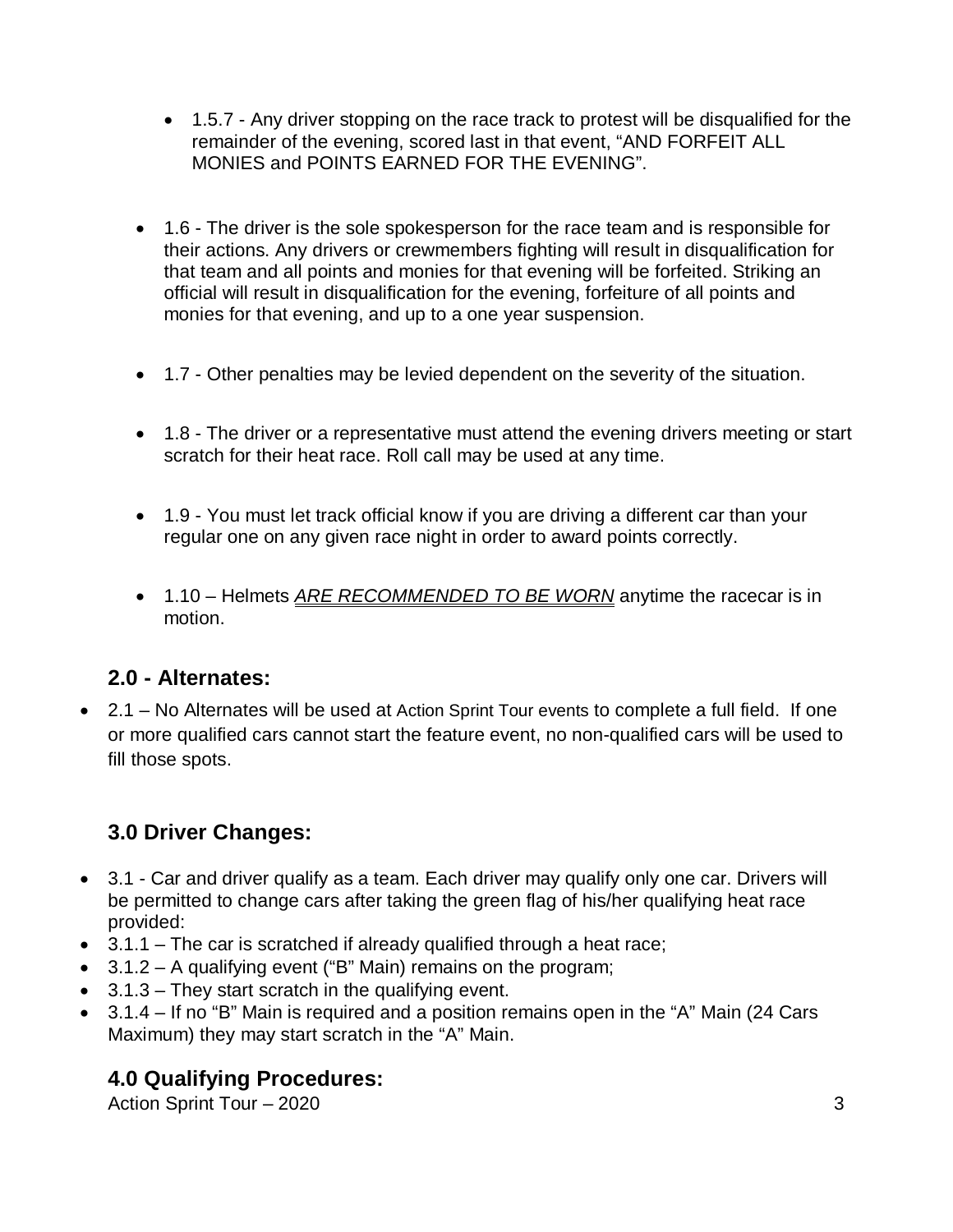- 1.5.7 Any driver stopping on the race track to protest will be disqualified for the remainder of the evening, scored last in that event, "AND FORFEIT ALL MONIES and POINTS EARNED FOR THE EVENING".
- 1.6 The driver is the sole spokesperson for the race team and is responsible for their actions. Any drivers or crewmembers fighting will result in disqualification for that team and all points and monies for that evening will be forfeited. Striking an official will result in disqualification for the evening, forfeiture of all points and monies for that evening, and up to a one year suspension.
- 1.7 Other penalties may be levied dependent on the severity of the situation.
- 1.8 The driver or a representative must attend the evening drivers meeting or start scratch for their heat race. Roll call may be used at any time.
- 1.9 You must let track official know if you are driving a different car than your regular one on any given race night in order to award points correctly.
- 1.10 Helmets *ARE RECOMMENDED TO BE WORN* anytime the racecar is in motion.

# **2.0 - Alternates:**

 2.1 – No Alternates will be used at Action Sprint Tour events to complete a full field. If one or more qualified cars cannot start the feature event, no non-qualified cars will be used to fill those spots.

# **3.0 Driver Changes:**

- 3.1 Car and driver qualify as a team. Each driver may qualify only one car. Drivers will be permitted to change cars after taking the green flag of his/her qualifying heat race provided:
- $\bullet$  3.1.1 The car is scratched if already qualified through a heat race;
- $\bullet$  3.1.2 A qualifying event ("B" Main) remains on the program;
- 3.1.3 They start scratch in the qualifying event.
- 3.1.4 If no "B" Main is required and a position remains open in the "A" Main (24 Cars Maximum) they may start scratch in the "A" Main.

# **4.0 Qualifying Procedures:**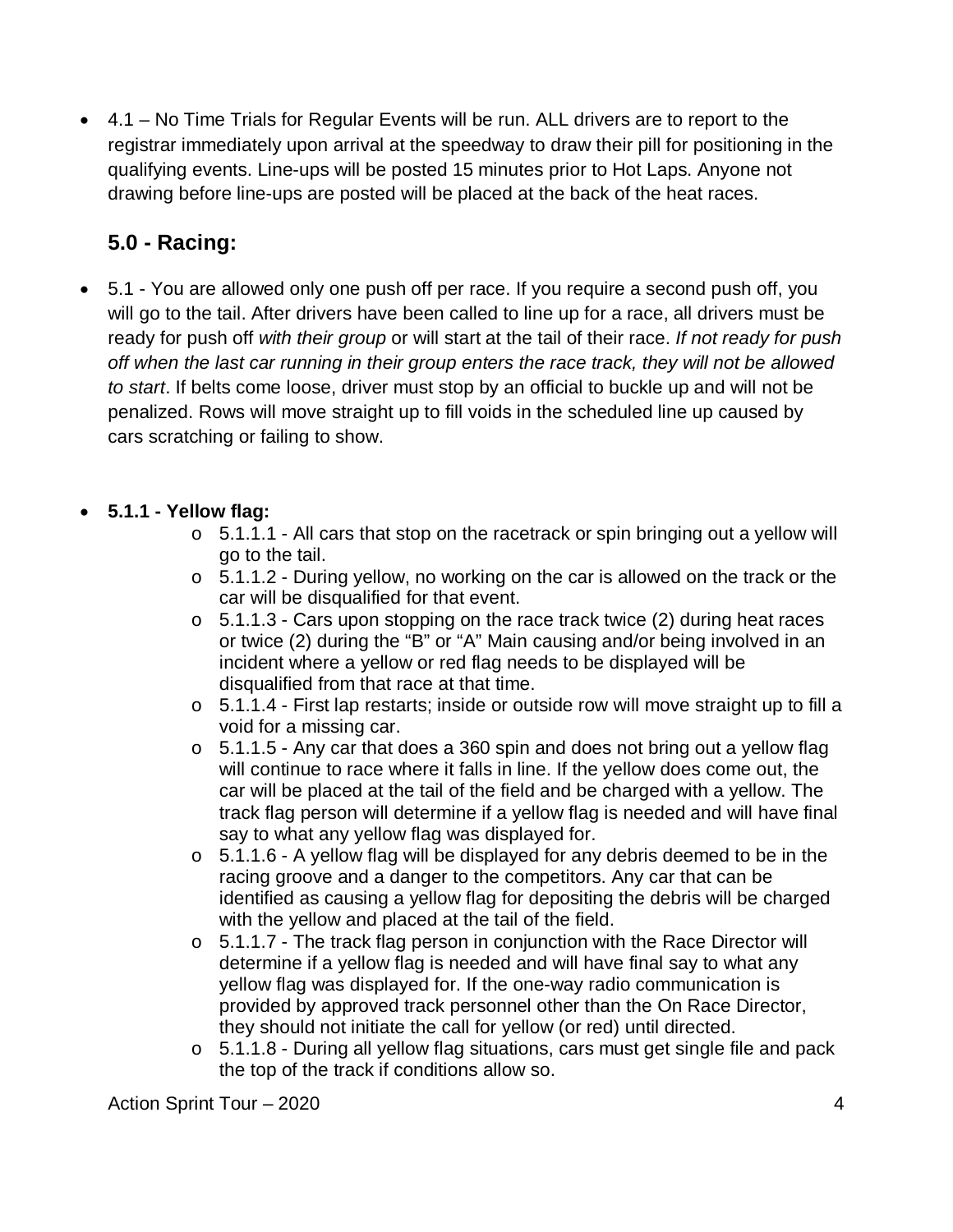4.1 – No Time Trials for Regular Events will be run. ALL drivers are to report to the registrar immediately upon arrival at the speedway to draw their pill for positioning in the qualifying events. Line-ups will be posted 15 minutes prior to Hot Laps. Anyone not drawing before line-ups are posted will be placed at the back of the heat races.

# **5.0 - Racing:**

 5.1 - You are allowed only one push off per race. If you require a second push off, you will go to the tail. After drivers have been called to line up for a race, all drivers must be ready for push off *with their group* or will start at the tail of their race. *If not ready for push off when the last car running in their group enters the race track, they will not be allowed to start*. If belts come loose, driver must stop by an official to buckle up and will not be penalized. Rows will move straight up to fill voids in the scheduled line up caused by cars scratching or failing to show.

#### **5.1.1 - Yellow flag:**

- $\circ$  5.1.1.1 All cars that stop on the racetrack or spin bringing out a yellow will go to the tail.
- o 5.1.1.2 During yellow, no working on the car is allowed on the track or the car will be disqualified for that event.
- o 5.1.1.3 Cars upon stopping on the race track twice (2) during heat races or twice (2) during the "B" or "A" Main causing and/or being involved in an incident where a yellow or red flag needs to be displayed will be disqualified from that race at that time.
- o 5.1.1.4 First lap restarts; inside or outside row will move straight up to fill a void for a missing car.
- o 5.1.1.5 Any car that does a 360 spin and does not bring out a yellow flag will continue to race where it falls in line. If the yellow does come out, the car will be placed at the tail of the field and be charged with a yellow. The track flag person will determine if a yellow flag is needed and will have final say to what any yellow flag was displayed for.
- o 5.1.1.6 A yellow flag will be displayed for any debris deemed to be in the racing groove and a danger to the competitors. Any car that can be identified as causing a yellow flag for depositing the debris will be charged with the yellow and placed at the tail of the field.
- o 5.1.1.7 The track flag person in conjunction with the Race Director will determine if a yellow flag is needed and will have final say to what any yellow flag was displayed for. If the one-way radio communication is provided by approved track personnel other than the On Race Director, they should not initiate the call for yellow (or red) until directed.
- o 5.1.1.8 During all yellow flag situations, cars must get single file and pack the top of the track if conditions allow so.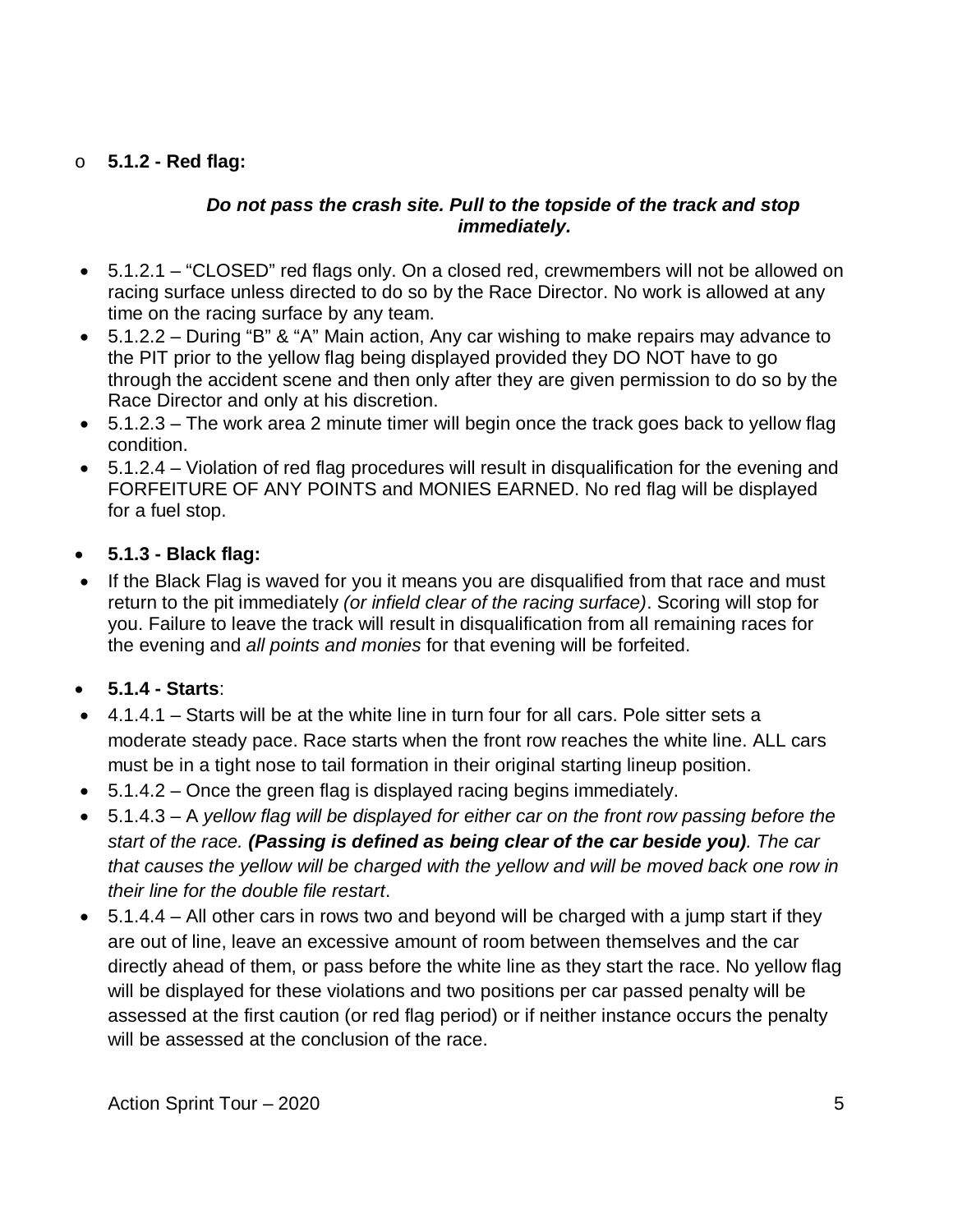#### o **5.1.2 - Red flag:**

#### *Do not pass the crash site. Pull to the topside of the track and stop immediately.*

- 5.1.2.1 "CLOSED" red flags only. On a closed red, crewmembers will not be allowed on racing surface unless directed to do so by the Race Director. No work is allowed at any time on the racing surface by any team.
- 5.1.2.2 During "B" & "A" Main action, Any car wishing to make repairs may advance to the PIT prior to the yellow flag being displayed provided they DO NOT have to go through the accident scene and then only after they are given permission to do so by the Race Director and only at his discretion.
- 5.1.2.3 The work area 2 minute timer will begin once the track goes back to yellow flag condition.
- 5.1.2.4 Violation of red flag procedures will result in disqualification for the evening and FORFEITURE OF ANY POINTS and MONIES EARNED. No red flag will be displayed for a fuel stop.
- **5.1.3 - Black flag:**
- If the Black Flag is waved for you it means you are disqualified from that race and must return to the pit immediately *(or infield clear of the racing surface)*. Scoring will stop for you. Failure to leave the track will result in disqualification from all remaining races for the evening and *all points and monies* for that evening will be forfeited.
- **5.1.4 - Starts**:
- 4.1.4.1 Starts will be at the white line in turn four for all cars. Pole sitter sets a moderate steady pace. Race starts when the front row reaches the white line. ALL cars must be in a tight nose to tail formation in their original starting lineup position.
- $\bullet$  5.1.4.2 Once the green flag is displayed racing begins immediately.
- 5.1.4.3 A *yellow flag will be displayed for either car on the front row passing before the start of the race. (Passing is defined as being clear of the car beside you). The car that causes the yellow will be charged with the yellow and will be moved back one row in their line for the double file restart*.
- $\bullet$  5.1.4.4 All other cars in rows two and beyond will be charged with a jump start if they are out of line, leave an excessive amount of room between themselves and the car directly ahead of them, or pass before the white line as they start the race. No yellow flag will be displayed for these violations and two positions per car passed penalty will be assessed at the first caution (or red flag period) or if neither instance occurs the penalty will be assessed at the conclusion of the race.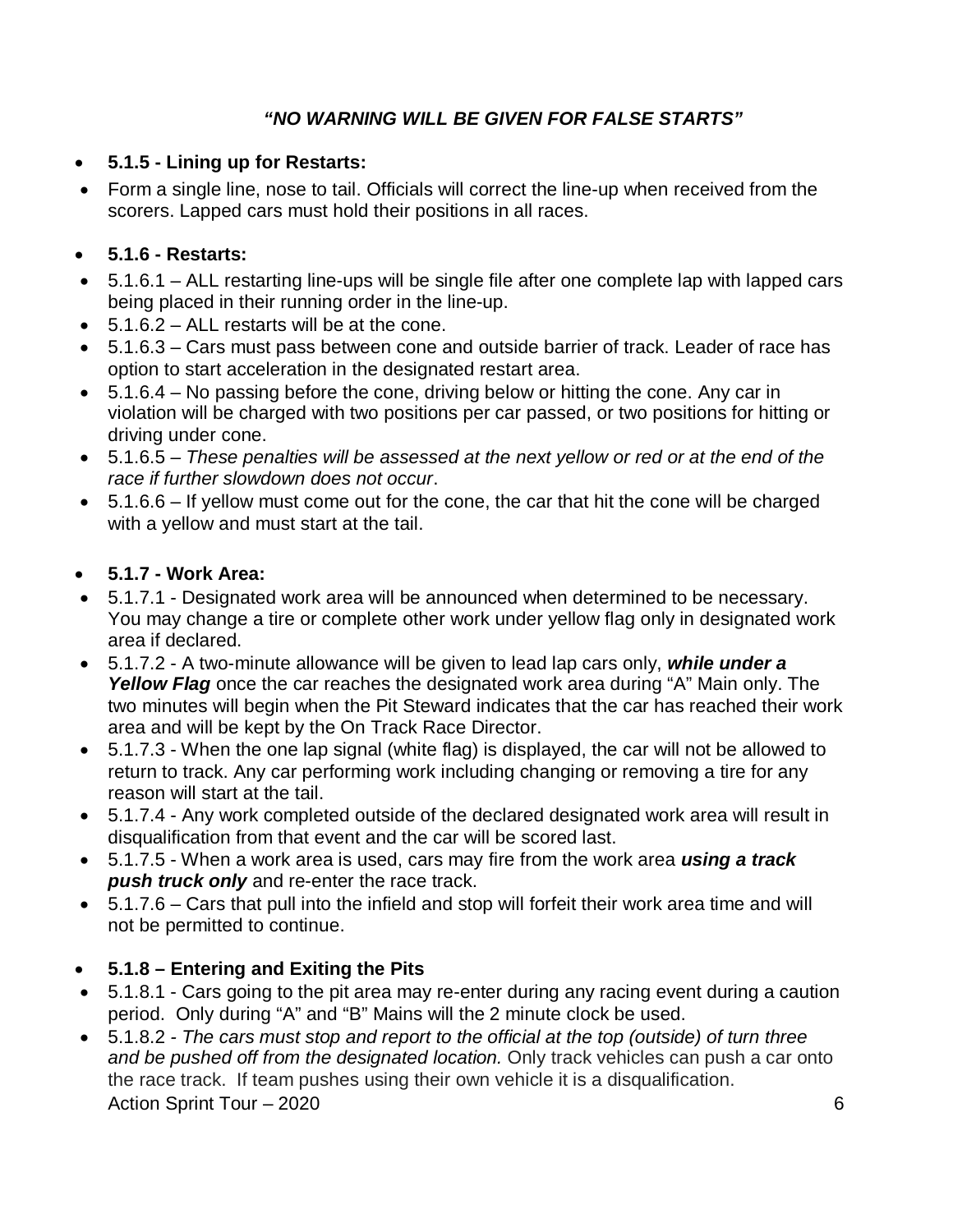### *"NO WARNING WILL BE GIVEN FOR FALSE STARTS"*

- **5.1.5 - Lining up for Restarts:**
- Form a single line, nose to tail. Officials will correct the line-up when received from the scorers. Lapped cars must hold their positions in all races.

#### **5.1.6 - Restarts:**

- 5.1.6.1 ALL restarting line-ups will be single file after one complete lap with lapped cars being placed in their running order in the line-up.
- $\bullet$  5.1.6.2 ALL restarts will be at the cone.
- 5.1.6.3 Cars must pass between cone and outside barrier of track. Leader of race has option to start acceleration in the designated restart area.
- 5.1.6.4 No passing before the cone, driving below or hitting the cone. Any car in violation will be charged with two positions per car passed, or two positions for hitting or driving under cone.
- 5.1.6.5 *– These penalties will be assessed at the next yellow or red or at the end of the race if further slowdown does not occur*.
- 5.1.6.6 If yellow must come out for the cone, the car that hit the cone will be charged with a yellow and must start at the tail.
- **5.1.7 - Work Area:**
- 5.1.7.1 Designated work area will be announced when determined to be necessary. You may change a tire or complete other work under yellow flag only in designated work area if declared.
- 5.1.7.2 A two-minute allowance will be given to lead lap cars only, *while under a Yellow Flag* once the car reaches the designated work area during "A" Main only. The two minutes will begin when the Pit Steward indicates that the car has reached their work area and will be kept by the On Track Race Director.
- 5.1.7.3 When the one lap signal (white flag) is displayed, the car will not be allowed to return to track. Any car performing work including changing or removing a tire for any reason will start at the tail.
- 5.1.7.4 Any work completed outside of the declared designated work area will result in disqualification from that event and the car will be scored last.
- 5.1.7.5 When a work area is used, cars may fire from the work area *using a track push truck only* and re-enter the race track.
- 5.1.7.6 Cars that pull into the infield and stop will forfeit their work area time and will not be permitted to continue.

# **5.1.8 – Entering and Exiting the Pits**

- 5.1.8.1 Cars going to the pit area may re-enter during any racing event during a caution period. Only during "A" and "B" Mains will the 2 minute clock be used.
- Action Sprint Tour 2020 6 5.1.8.2 *- The cars must stop and report to the official at the top (outside) of turn three and be pushed off from the designated location.* Only track vehicles can push a car onto the race track. If team pushes using their own vehicle it is a disqualification.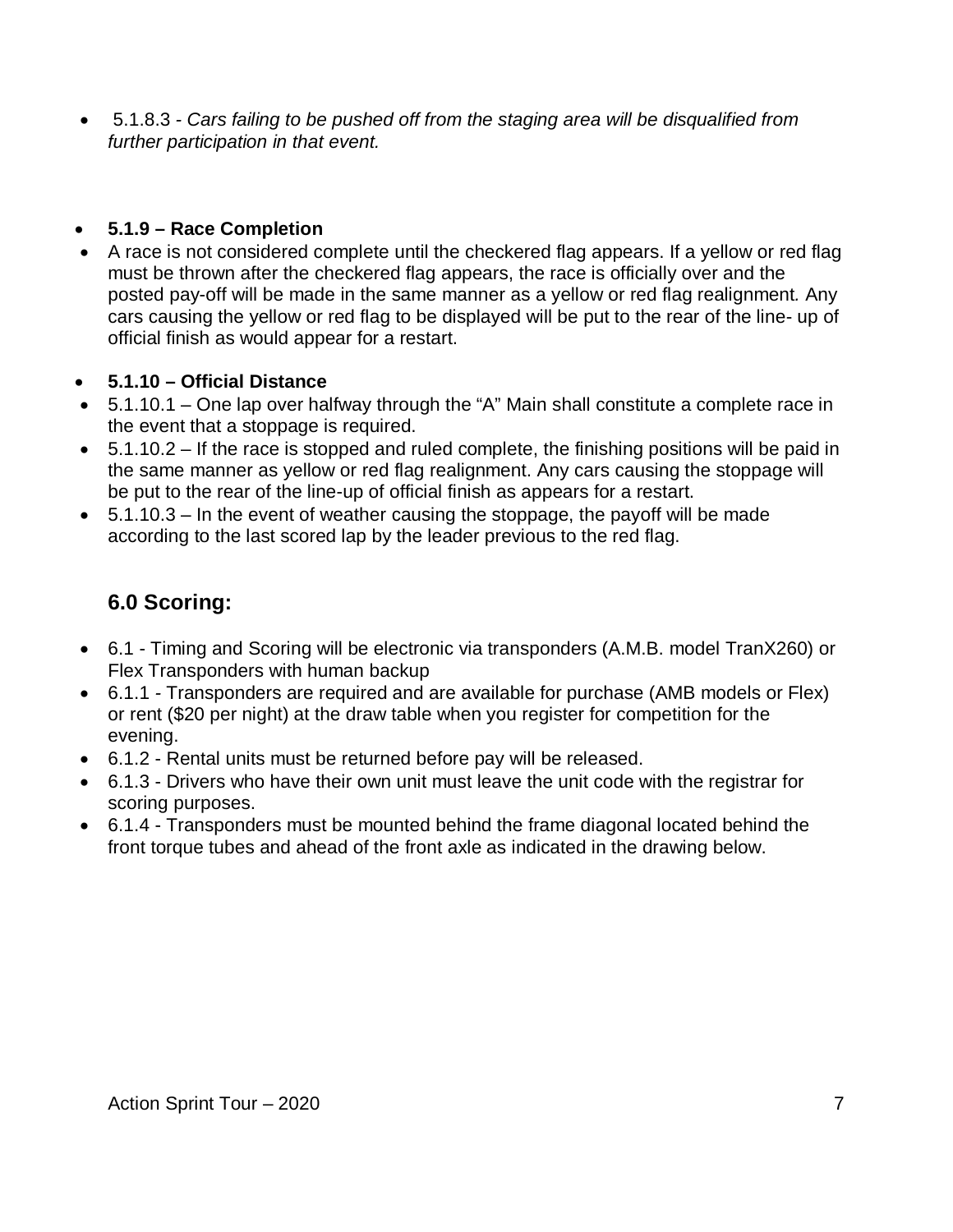5.1.8.3 *- Cars failing to be pushed off from the staging area will be disqualified from further participation in that event.* 

#### **5.1.9 – Race Completion**

 A race is not considered complete until the checkered flag appears. If a yellow or red flag must be thrown after the checkered flag appears, the race is officially over and the posted pay-off will be made in the same manner as a yellow or red flag realignment*.* Any cars causing the yellow or red flag to be displayed will be put to the rear of the line- up of official finish as would appear for a restart.

#### **5.1.10 – Official Distance**

- 5.1.10.1 One lap over halfway through the "A" Main shall constitute a complete race in the event that a stoppage is required.
- $\bullet$  5.1.10.2 If the race is stopped and ruled complete, the finishing positions will be paid in the same manner as yellow or red flag realignment. Any cars causing the stoppage will be put to the rear of the line-up of official finish as appears for a restart.
- $\bullet$  5.1.10.3 In the event of weather causing the stoppage, the payoff will be made according to the last scored lap by the leader previous to the red flag.

# **6.0 Scoring:**

- 6.1 Timing and Scoring will be electronic via transponders (A.M.B. model TranX260) or Flex Transponders with human backup
- 6.1.1 *-* Transponders are required and are available for purchase (AMB models or Flex) or rent (\$20 per night) at the draw table when you register for competition for the evening.
- 6.1.2 Rental units must be returned before pay will be released.
- 6.1.3 Drivers who have their own unit must leave the unit code with the registrar for scoring purposes.
- 6.1.4 Transponders must be mounted behind the frame diagonal located behind the front torque tubes and ahead of the front axle as indicated in the drawing below.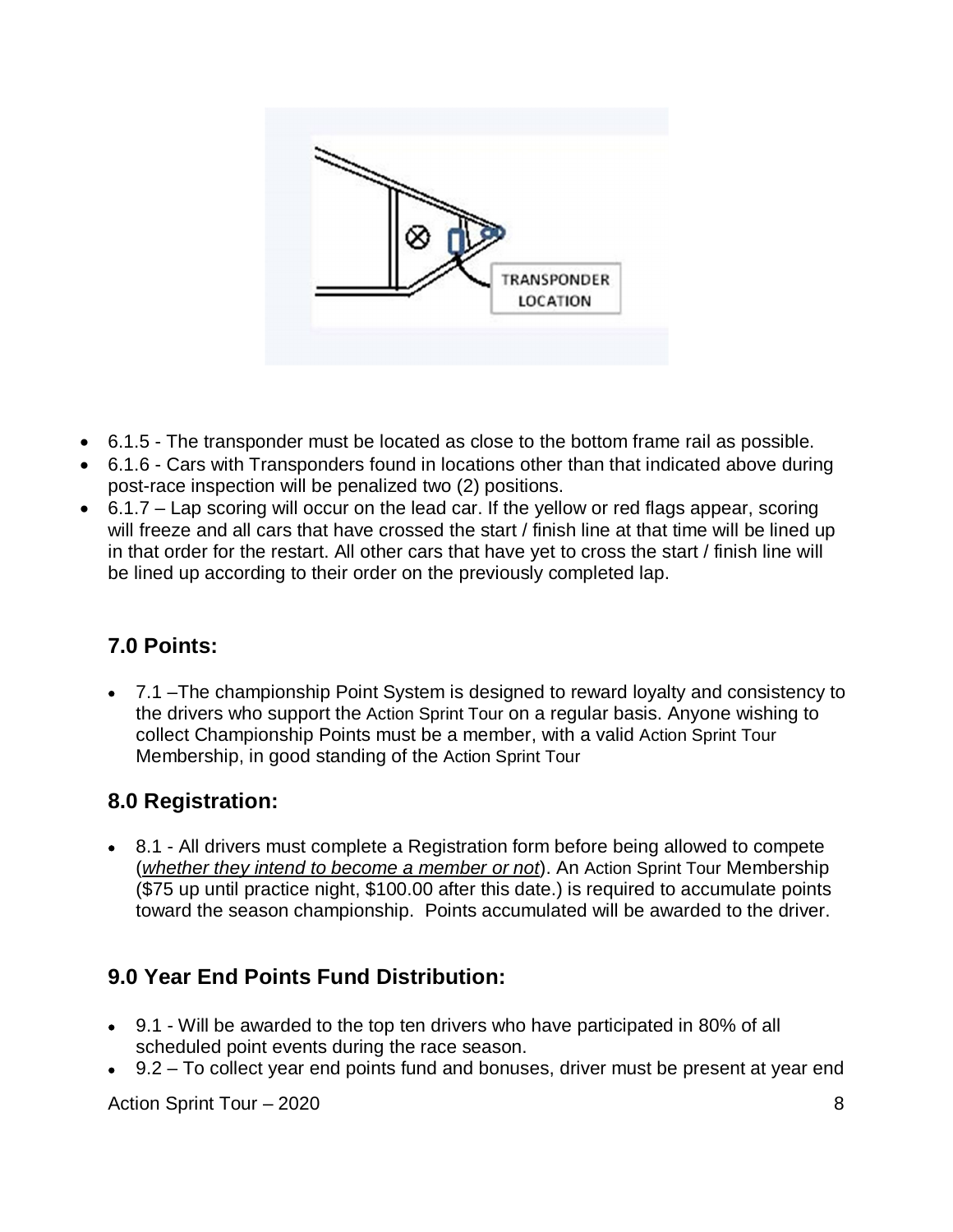

- 6.1.5 The transponder must be located as close to the bottom frame rail as possible.
- 6.1.6 Cars with Transponders found in locations other than that indicated above during post-race inspection will be penalized two (2) positions.
- 6.1.7 Lap scoring will occur on the lead car. If the yellow or red flags appear, scoring will freeze and all cars that have crossed the start / finish line at that time will be lined up in that order for the restart. All other cars that have yet to cross the start / finish line will be lined up according to their order on the previously completed lap.

# **7.0 Points:**

 7.1 –The championship Point System is designed to reward loyalty and consistency to the drivers who support the Action Sprint Tour on a regular basis. Anyone wishing to collect Championship Points must be a member, with a valid Action Sprint Tour Membership, in good standing of the Action Sprint Tour

# **8.0 Registration:**

 8.1 - All drivers must complete a Registration form before being allowed to compete (*whether they intend to become a member or not*). An Action Sprint Tour Membership (\$75 up until practice night, \$100.00 after this date.) is required to accumulate points toward the season championship. Points accumulated will be awarded to the driver.

# **9.0 Year End Points Fund Distribution:**

- 9.1 Will be awarded to the top ten drivers who have participated in 80% of all scheduled point events during the race season.
- 9.2 To collect year end points fund and bonuses, driver must be present at year end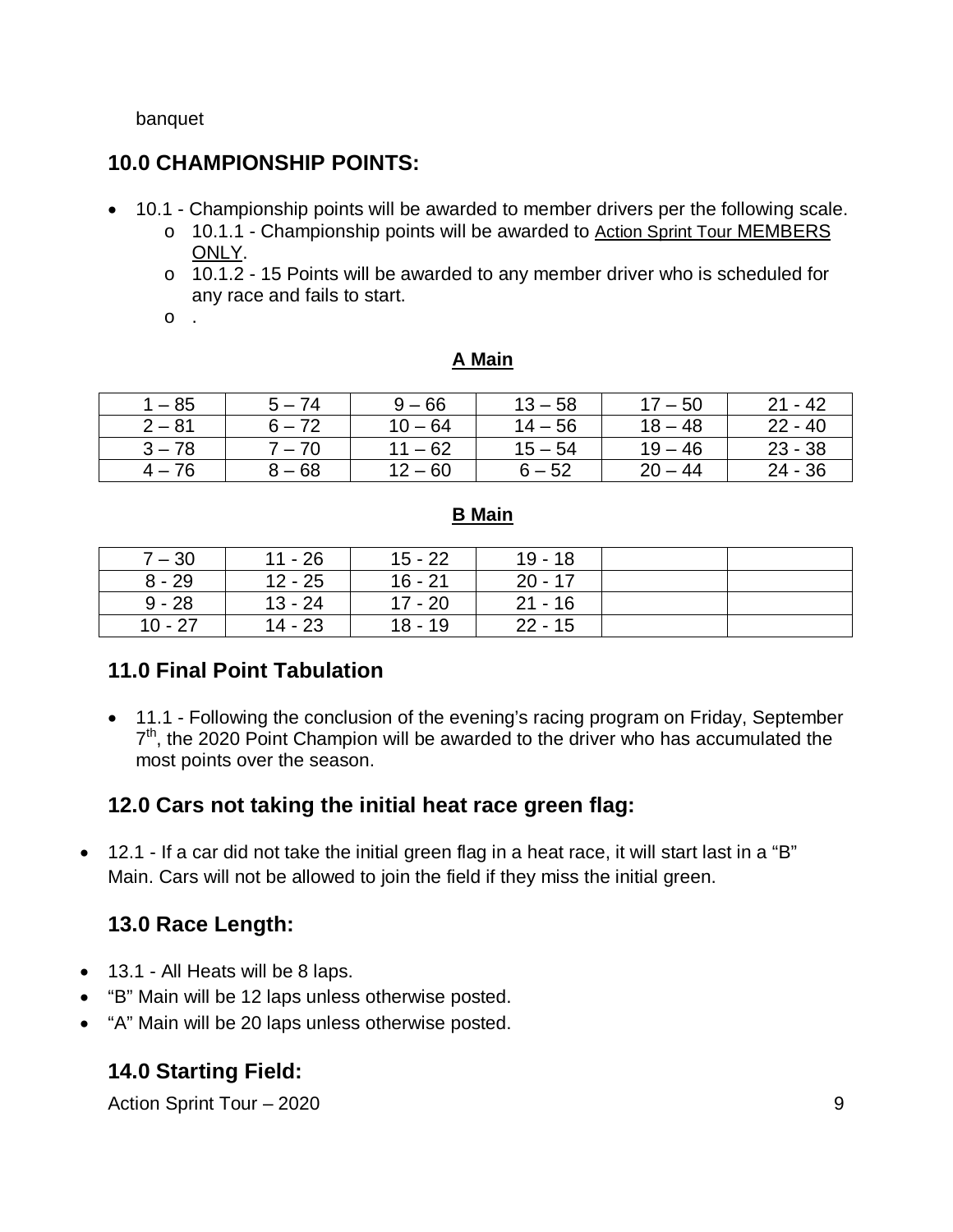#### banquet

# **10.0 CHAMPIONSHIP POINTS:**

- 10.1 Championship points will be awarded to member drivers per the following scale.
	- o 10.1.1 Championship points will be awarded to Action Sprint Tour MEMBERS ONLY.
	- o 10.1.2 15 Points will be awarded to any member driver who is scheduled for any race and fails to start.
	- o .

#### **A Main**

| $-85$    | $5 - 74$ | $9 - 66$  | $13 - 58$ | $17 - 50$ | $21 - 42$ |
|----------|----------|-----------|-----------|-----------|-----------|
| $2 - 81$ | $6 - 72$ | $10 - 64$ | $14 - 56$ | $18 - 48$ | $22 - 40$ |
| $3 - 78$ | $7 - 70$ | $11 - 62$ | $15 - 54$ | $19 - 46$ | $23 - 38$ |
| $4 - 76$ | $8 - 68$ | $12 - 60$ | $6 - 52$  | $20 - 44$ | 24 - 36   |

#### **B Main**

| $7 - 30$  | $11 - 26$ | $15 - 22$ | $19 - 18$ |  |
|-----------|-----------|-----------|-----------|--|
| $8 - 29$  | $12 - 25$ | $16 - 21$ | $20 - 17$ |  |
| $9 - 28$  | $13 - 24$ | $17 - 20$ | $21 - 16$ |  |
| $10 - 27$ | $14 - 23$ | $18 - 19$ | $22 - 15$ |  |

# **11.0 Final Point Tabulation**

• 11.1 - Following the conclusion of the evening's racing program on Friday, September 7<sup>th</sup>, the 2020 Point Champion will be awarded to the driver who has accumulated the most points over the season.

# **12.0 Cars not taking the initial heat race green flag:**

 12.1 - If a car did not take the initial green flag in a heat race, it will start last in a "B" Main. Cars will not be allowed to join the field if they miss the initial green.

# **13.0 Race Length:**

- 13.1 All Heats will be 8 laps.
- "B" Main will be 12 laps unless otherwise posted.
- "A" Main will be 20 laps unless otherwise posted.

# **14.0 Starting Field:**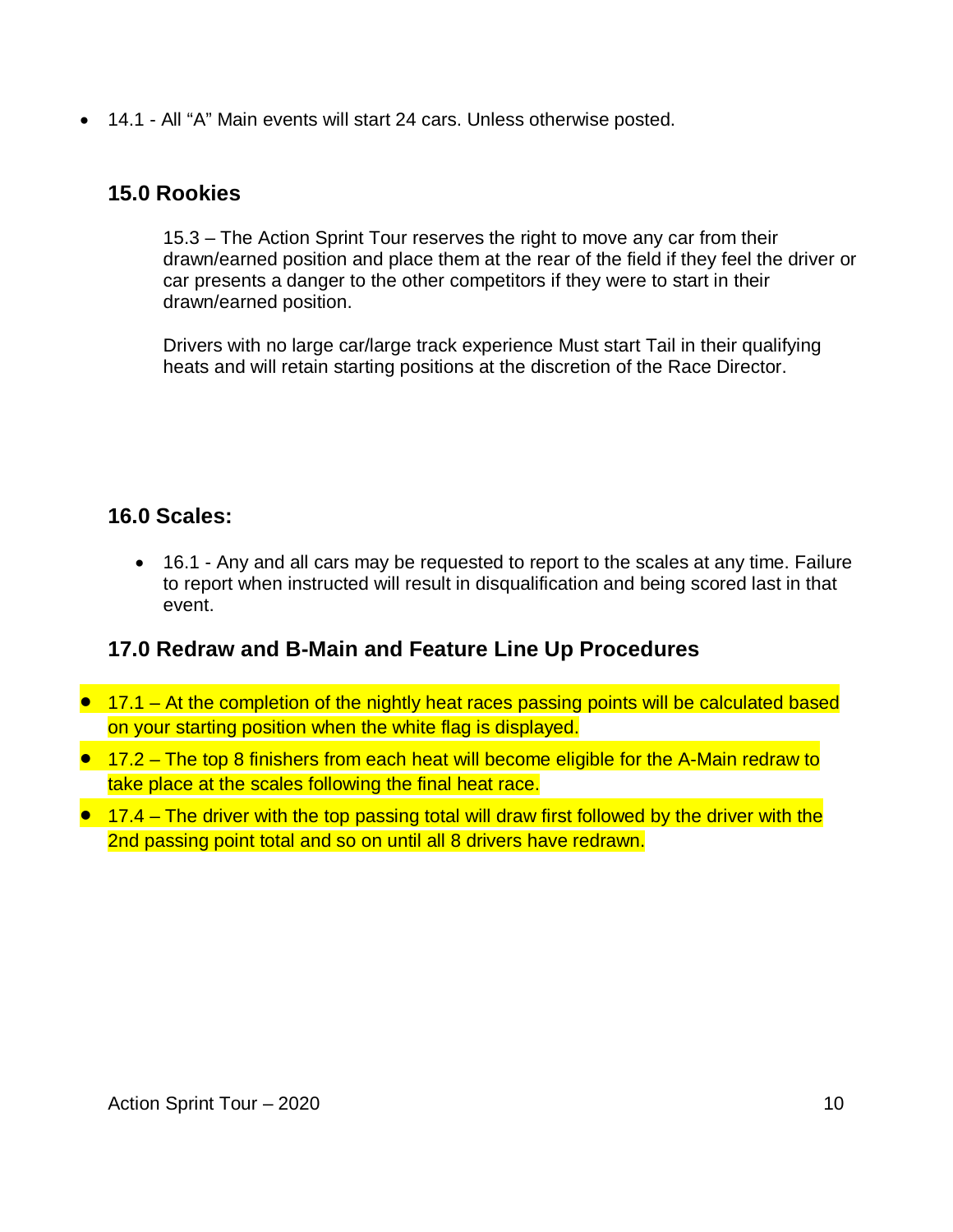14.1 - All "A" Main events will start 24 cars. Unless otherwise posted.

# **15.0 Rookies**

15.3 – The Action Sprint Tour reserves the right to move any car from their drawn/earned position and place them at the rear of the field if they feel the driver or car presents a danger to the other competitors if they were to start in their drawn/earned position.

Drivers with no large car/large track experience Must start Tail in their qualifying heats and will retain starting positions at the discretion of the Race Director.

# **16.0 Scales:**

 16.1 - Any and all cars may be requested to report to the scales at any time. Failure to report when instructed will result in disqualification and being scored last in that event.

# **17.0 Redraw and B-Main and Feature Line Up Procedures**

- 17.1 At the completion of the nightly heat races passing points will be calculated based on your starting position when the white flag is displayed.
- 17.2 The top 8 finishers from each heat will become eligible for the A-Main redraw to take place at the scales following the final heat race.
- $\bullet$  17.4 The driver with the top passing total will draw first followed by the driver with the 2nd passing point total and so on until all 8 drivers have redrawn.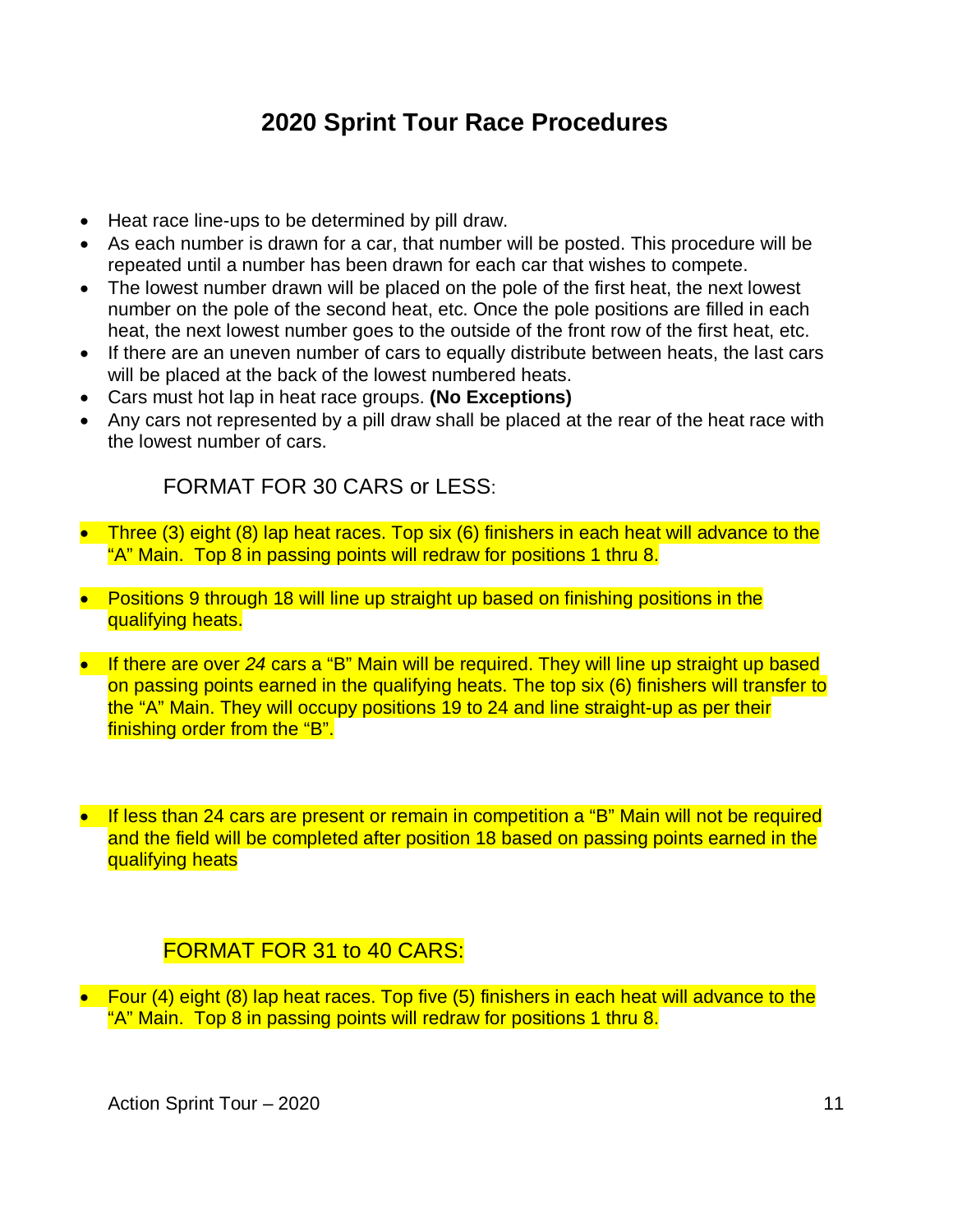# **2020 Sprint Tour Race Procedures**

- Heat race line-ups to be determined by pill draw.
- As each number is drawn for a car, that number will be posted. This procedure will be repeated until a number has been drawn for each car that wishes to compete.
- The lowest number drawn will be placed on the pole of the first heat, the next lowest number on the pole of the second heat, etc. Once the pole positions are filled in each heat, the next lowest number goes to the outside of the front row of the first heat, etc.
- If there are an uneven number of cars to equally distribute between heats, the last cars will be placed at the back of the lowest numbered heats.
- Cars must hot lap in heat race groups. **(No Exceptions)**
- Any cars not represented by a pill draw shall be placed at the rear of the heat race with the lowest number of cars.

FORMAT FOR 30 CARS or LESS:

- Three (3) eight (8) lap heat races. Top six (6) finishers in each heat will advance to the "A" Main. Top 8 in passing points will redraw for positions 1 thru 8.
- Positions 9 through 18 will line up straight up based on finishing positions in the qualifying heats.
- If there are over 24 cars a "B" Main will be required. They will line up straight up based on passing points earned in the qualifying heats. The top six (6) finishers will transfer to the "A" Main. They will occupy positions 19 to 24 and line straight-up as per their finishing order from the "B".
- If less than 24 cars are present or remain in competition a "B" Main will not be required and the field will be completed after position 18 based on passing points earned in the qualifying heats

# FORMAT FOR 31 to 40 CARS:

 Four (4) eight (8) lap heat races. Top five (5) finishers in each heat will advance to the "A" Main. Top 8 in passing points will redraw for positions 1 thru 8.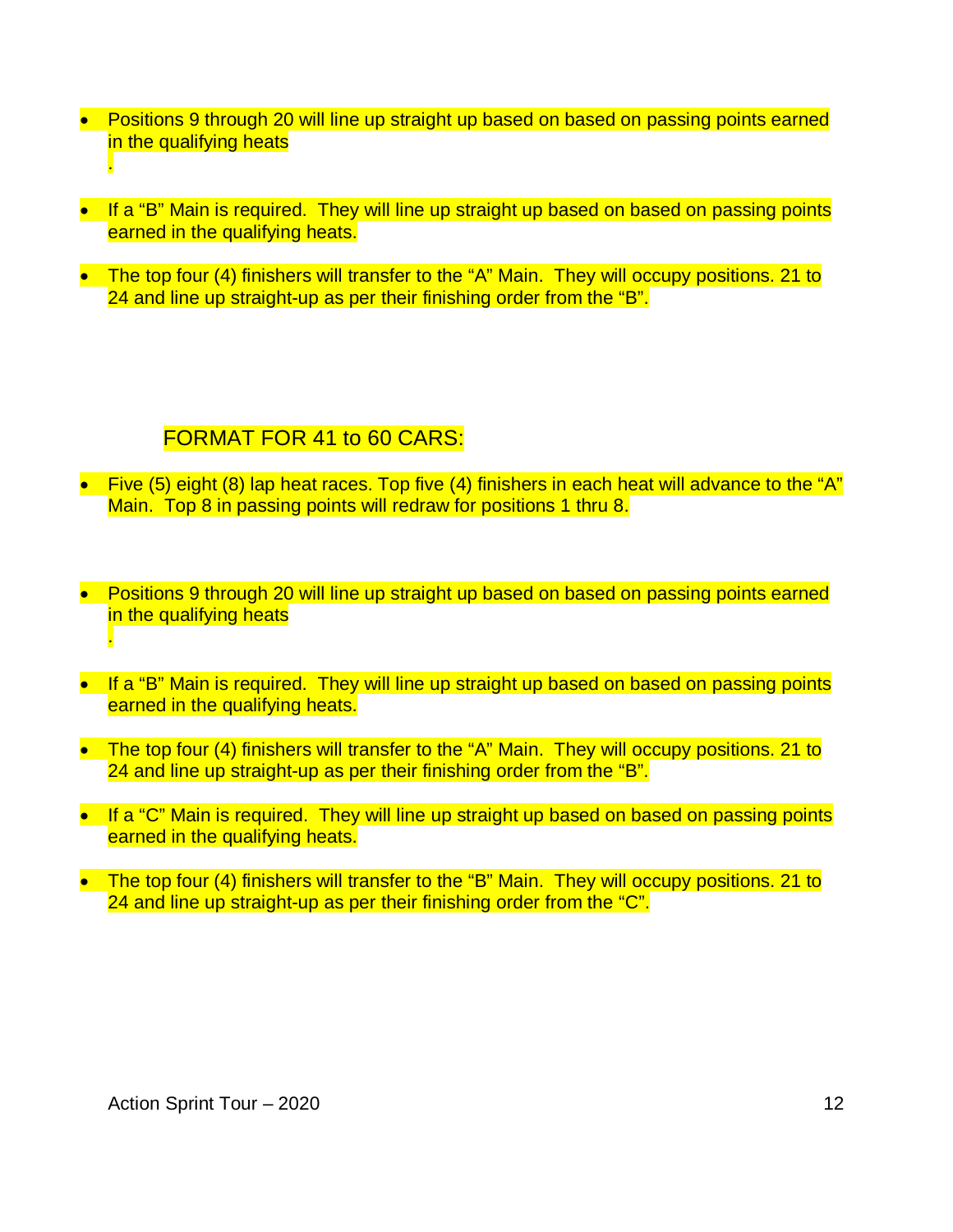- Positions 9 through 20 will line up straight up based on based on passing points earned in the qualifying heats .
- If a "B" Main is required. They will line up straight up based on based on passing points earned in the qualifying heats.
- The top four (4) finishers will transfer to the "A" Main. They will occupy positions. 21 to 24 and line up straight-up as per their finishing order from the "B".

# FORMAT FOR 41 to 60 CARS:

- Five (5) eight (8) lap heat races. Top five (4) finishers in each heat will advance to the "A" Main. Top 8 in passing points will redraw for positions 1 thru 8.
- Positions 9 through 20 will line up straight up based on based on passing points earned in the qualifying heats .
- If a "B" Main is required. They will line up straight up based on based on passing points earned in the qualifying heats.
- The top four (4) finishers will transfer to the "A" Main. They will occupy positions. 21 to 24 and line up straight-up as per their finishing order from the "B".
- If a "C" Main is required. They will line up straight up based on based on passing points earned in the qualifying heats.
- The top four (4) finishers will transfer to the "B" Main. They will occupy positions. 21 to 24 and line up straight-up as per their finishing order from the "C".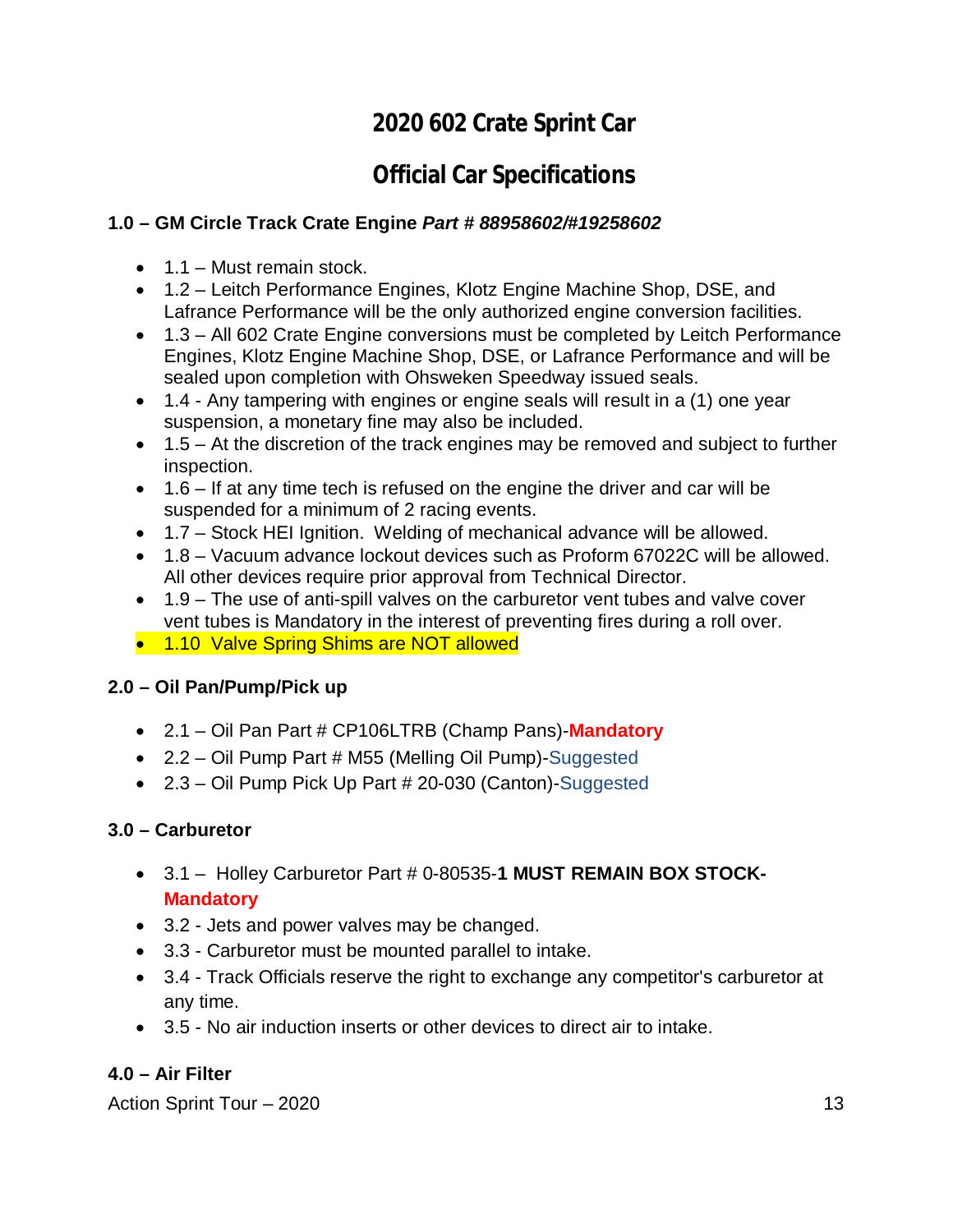# **2020 602 Crate Sprint Car**

# **Official Car Specifications**

### **1.0 – GM Circle Track Crate Engine** *Part # 88958602/#19258602*

- $\bullet$  1.1 Must remain stock.
- 1.2 Leitch Performance Engines, Klotz Engine Machine Shop, DSE, and Lafrance Performance will be the only authorized engine conversion facilities.
- 1.3 All 602 Crate Engine conversions must be completed by Leitch Performance Engines, Klotz Engine Machine Shop, DSE, or Lafrance Performance and will be sealed upon completion with Ohsweken Speedway issued seals.
- 1.4 Any tampering with engines or engine seals will result in a (1) one year suspension, a monetary fine may also be included.
- 1.5 At the discretion of the track engines may be removed and subject to further inspection.
- $\bullet$  1.6 If at any time tech is refused on the engine the driver and car will be suspended for a minimum of 2 racing events.
- 1.7 Stock HEI Ignition. Welding of mechanical advance will be allowed.
- 1.8 Vacuum advance lockout devices such as Proform 67022C will be allowed. All other devices require prior approval from Technical Director.
- 1.9 The use of anti-spill valves on the carburetor vent tubes and valve cover vent tubes is Mandatory in the interest of preventing fires during a roll over.
- 1.10 Valve Spring Shims are NOT allowed

#### **2.0 – Oil Pan/Pump/Pick up**

- 2.1 Oil Pan Part # CP106LTRB (Champ Pans)-**Mandatory**
- 2.2 Oil Pump Part # M55 (Melling Oil Pump)-Suggested
- 2.3 Oil Pump Pick Up Part # 20-030 (Canton)-Suggested

#### **3.0 – Carburetor**

- 3.1 Holley Carburetor Part # 0-80535-**1 MUST REMAIN BOX STOCK-Mandatory**
- 3.2 Jets and power valves may be changed.
- 3.3 Carburetor must be mounted parallel to intake.
- 3.4 Track Officials reserve the right to exchange any competitor's carburetor at any time.
- 3.5 No air induction inserts or other devices to direct air to intake.

#### **4.0 – Air Filter**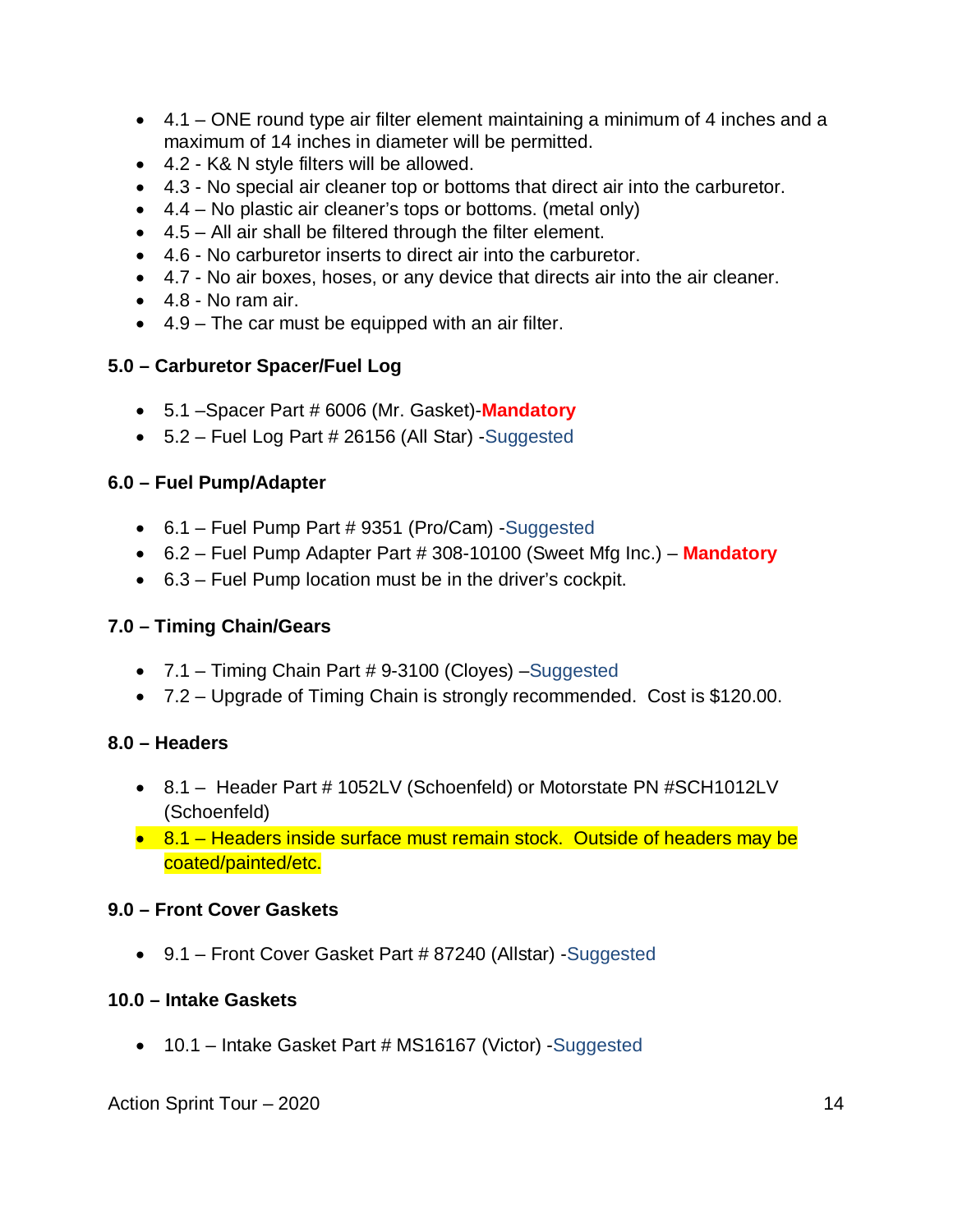- 4.1 ONE round type air filter element maintaining a minimum of 4 inches and a maximum of 14 inches in diameter will be permitted.
- 4.2 K& N style filters will be allowed.
- 4.3 No special air cleaner top or bottoms that direct air into the carburetor.
- 4.4 No plastic air cleaner's tops or bottoms. (metal only)
- 4.5 All air shall be filtered through the filter element.
- 4.6 No carburetor inserts to direct air into the carburetor.
- 4.7 No air boxes, hoses, or any device that directs air into the air cleaner.
- $\bullet$  4.8 No ram air.
- 4.9 The car must be equipped with an air filter.

#### **5.0 – Carburetor Spacer/Fuel Log**

- 5.1 –Spacer Part # 6006 (Mr. Gasket)-**Mandatory**
- 5.2 Fuel Log Part # 26156 (All Star) -Suggested

#### **6.0 – Fuel Pump/Adapter**

- 6.1 Fuel Pump Part # 9351 (Pro/Cam) -Suggested
- 6.2 Fuel Pump Adapter Part # 308-10100 (Sweet Mfg Inc.) **Mandatory**
- 6.3 Fuel Pump location must be in the driver's cockpit.

#### **7.0 – Timing Chain/Gears**

- 7.1 Timing Chain Part # 9-3100 (Cloyes) –Suggested
- 7.2 Upgrade of Timing Chain is strongly recommended. Cost is \$120.00.

#### **8.0 – Headers**

- 8.1 Header Part # 1052LV (Schoenfeld) or Motorstate PN #SCH1012LV (Schoenfeld)
- 8.1 Headers inside surface must remain stock. Outside of headers may be coated/painted/etc.

#### **9.0 – Front Cover Gaskets**

9.1 – Front Cover Gasket Part # 87240 (Allstar) -Suggested

#### **10.0 – Intake Gaskets**

• 10.1 – Intake Gasket Part # MS16167 (Victor) -Suggested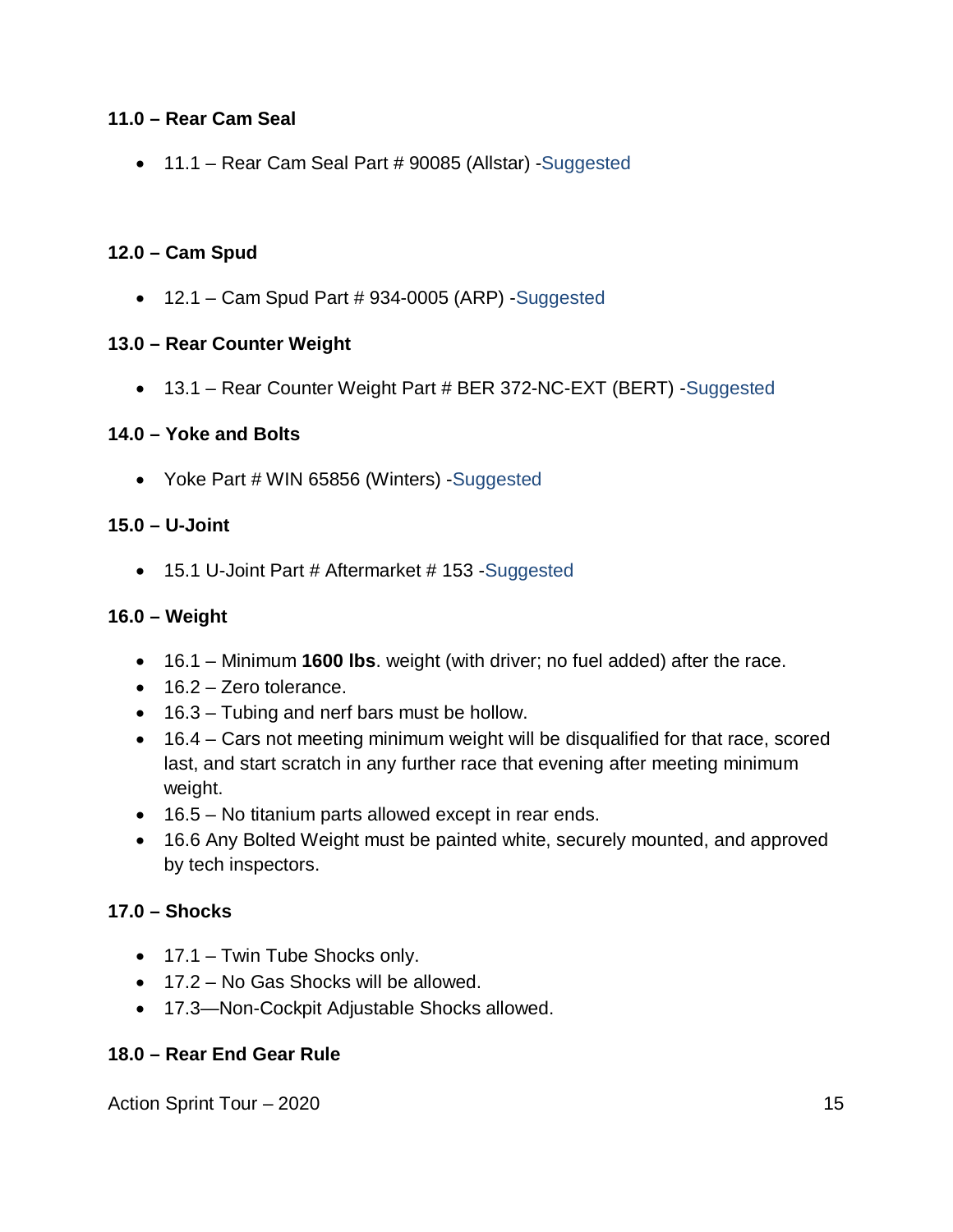#### **11.0 – Rear Cam Seal**

11.1 – Rear Cam Seal Part # 90085 (Allstar) -Suggested

#### **12.0 – Cam Spud**

 $\bullet$  12.1 – Cam Spud Part # 934-0005 (ARP) -Suggested

#### **13.0 – Rear Counter Weight**

• 13.1 – Rear Counter Weight Part # BER 372-NC-EXT (BERT) - Suggested

#### **14.0 – Yoke and Bolts**

• Yoke Part # WIN 65856 (Winters) -Suggested

#### **15.0 – U-Joint**

• 15.1 U-Joint Part # Aftermarket # 153 - Suggested

#### **16.0 – Weight**

- 16.1 Minimum **1600 lbs**. weight (with driver; no fuel added) after the race.
- $\bullet$  16.2 Zero tolerance.
- 16.3 Tubing and nerf bars must be hollow.
- 16.4 Cars not meeting minimum weight will be disqualified for that race, scored last, and start scratch in any further race that evening after meeting minimum weight.
- 16.5 No titanium parts allowed except in rear ends.
- 16.6 Any Bolted Weight must be painted white, securely mounted, and approved by tech inspectors.

#### **17.0 – Shocks**

- 17.1 Twin Tube Shocks only.
- 17.2 No Gas Shocks will be allowed.
- 17.3—Non-Cockpit Adjustable Shocks allowed.

#### **18.0 – Rear End Gear Rule**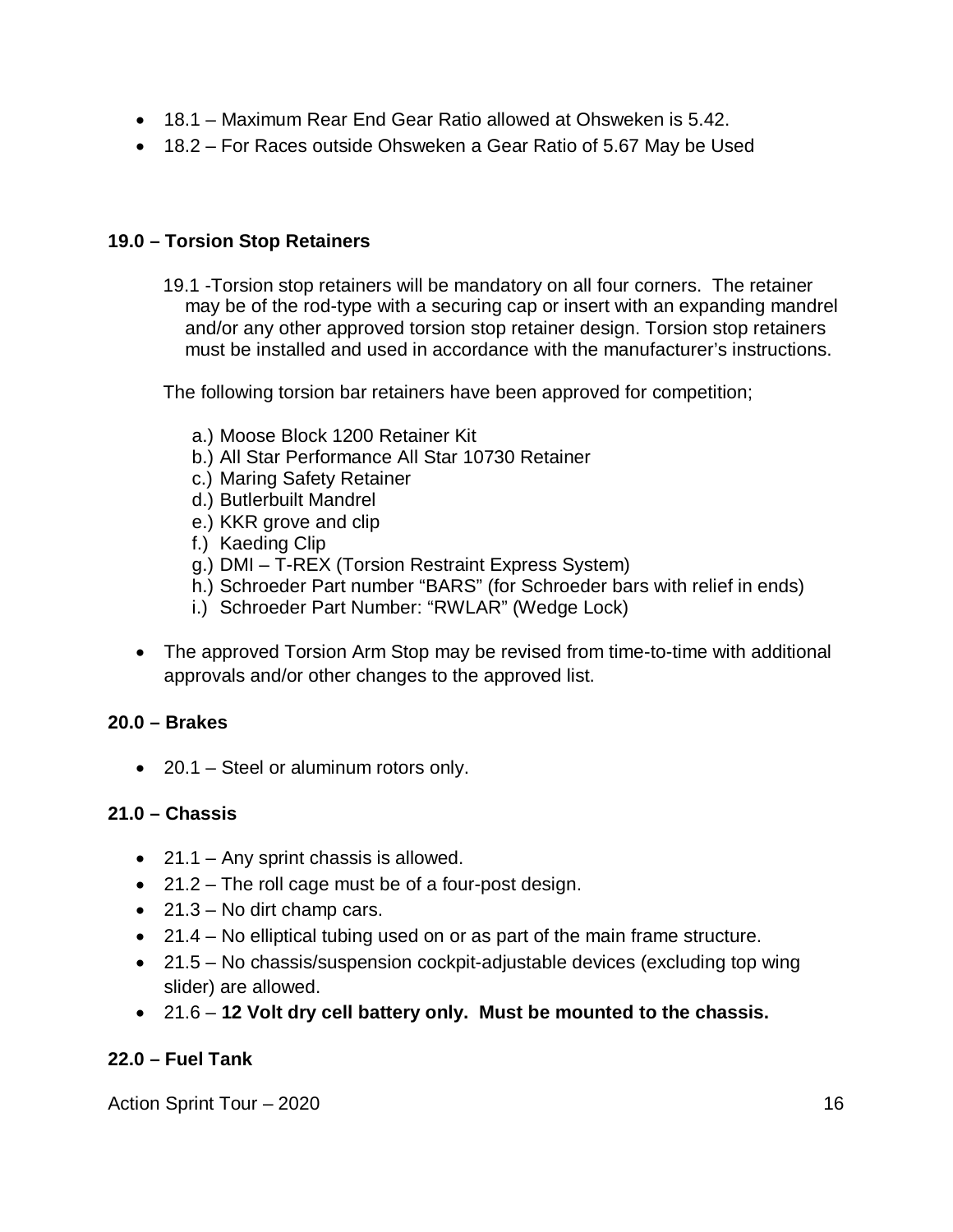- 18.1 Maximum Rear End Gear Ratio allowed at Ohsweken is 5.42.
- 18.2 For Races outside Ohsweken a Gear Ratio of 5.67 May be Used

#### **19.0 – Torsion Stop Retainers**

19.1 -Torsion stop retainers will be mandatory on all four corners. The retainer may be of the rod-type with a securing cap or insert with an expanding mandrel and/or any other approved torsion stop retainer design. Torsion stop retainers must be installed and used in accordance with the manufacturer's instructions.

The following torsion bar retainers have been approved for competition;

- a.) Moose Block 1200 Retainer Kit
- b.) All Star Performance All Star 10730 Retainer
- c.) Maring Safety Retainer
- d.) Butlerbuilt Mandrel
- e.) KKR grove and clip
- f.) Kaeding Clip
- g.) DMI T-REX (Torsion Restraint Express System)
- h.) Schroeder Part number "BARS" (for Schroeder bars with relief in ends)
- i.) Schroeder Part Number: "RWLAR" (Wedge Lock)
- The approved Torsion Arm Stop may be revised from time-to-time with additional approvals and/or other changes to the approved list.

#### **20.0 – Brakes**

• 20.1 – Steel or aluminum rotors only.

#### **21.0 – Chassis**

- $\bullet$  21.1 Any sprint chassis is allowed.
- $\bullet$  21.2 The roll cage must be of a four-post design.
- $\bullet$  21.3 No dirt champ cars.
- 21.4 No elliptical tubing used on or as part of the main frame structure.
- 21.5 No chassis/suspension cockpit-adjustable devices (excluding top wing slider) are allowed.
- 21.6 **12 Volt dry cell battery only. Must be mounted to the chassis.**

#### **22.0 – Fuel Tank**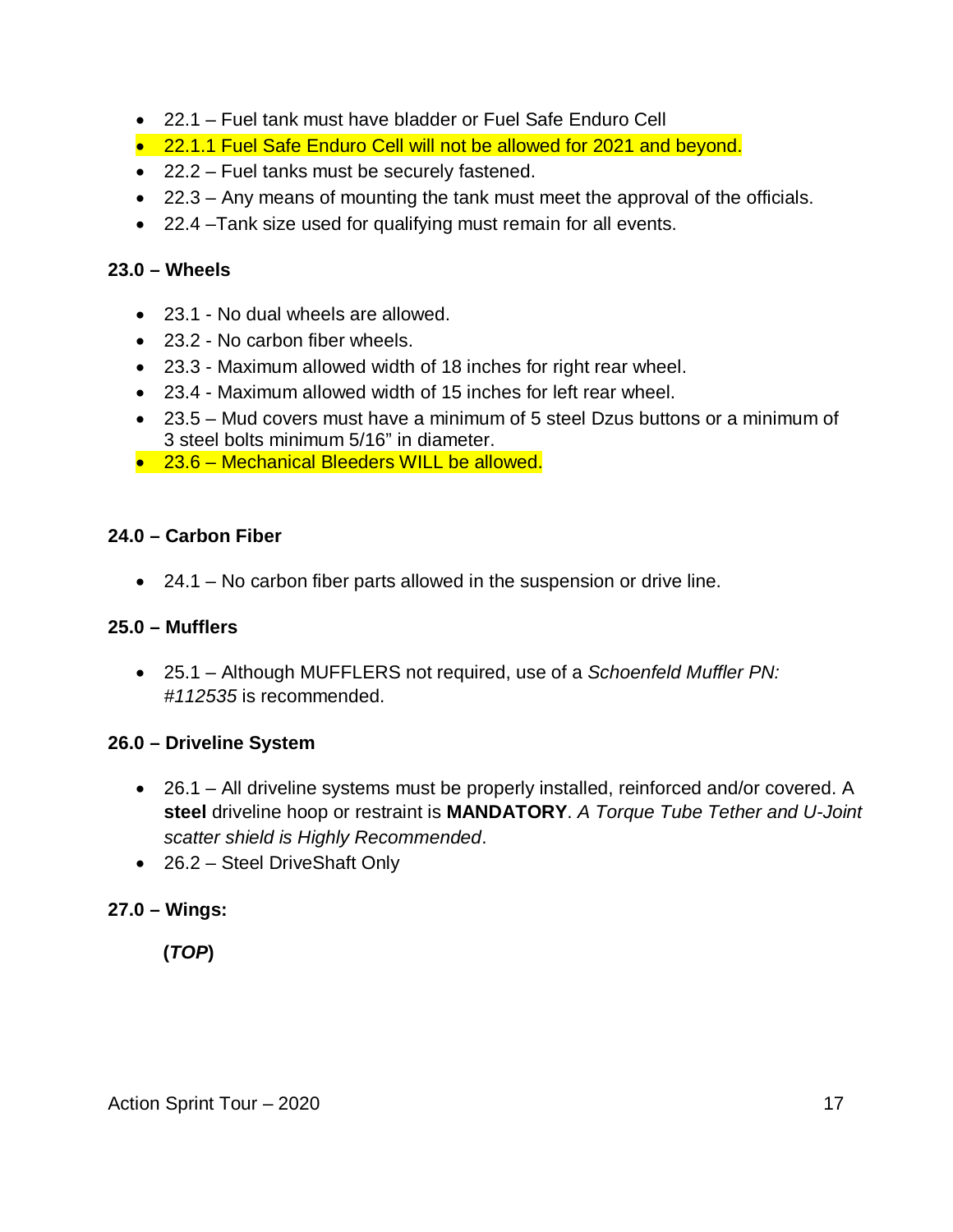- 22.1 Fuel tank must have bladder or Fuel Safe Enduro Cell
- 22.1.1 Fuel Safe Enduro Cell will not be allowed for 2021 and beyond.
- 22.2 Fuel tanks must be securely fastened.
- 22.3 Any means of mounting the tank must meet the approval of the officials.
- 22.4 –Tank size used for qualifying must remain for all events.

#### **23.0 – Wheels**

- 23.1 No dual wheels are allowed.
- 23.2 No carbon fiber wheels.
- 23.3 Maximum allowed width of 18 inches for right rear wheel.
- 23.4 Maximum allowed width of 15 inches for left rear wheel.
- 23.5 Mud covers must have a minimum of 5 steel Dzus buttons or a minimum of 3 steel bolts minimum 5/16" in diameter.
- 23.6 Mechanical Bleeders WILL be allowed.

#### **24.0 – Carbon Fiber**

24.1 – No carbon fiber parts allowed in the suspension or drive line.

#### **25.0 – Mufflers**

 25.1 – Although MUFFLERS not required, use of a *Schoenfeld Muffler PN: #112535* is recommended.

#### **26.0 – Driveline System**

- 26.1 All driveline systems must be properly installed, reinforced and/or covered. A **steel** driveline hoop or restraint is **MANDATORY**. *A Torque Tube Tether and U-Joint scatter shield is Highly Recommended*.
- 26.2 Steel DriveShaft Only

#### **27.0 – Wings:**

# **(***TOP***)**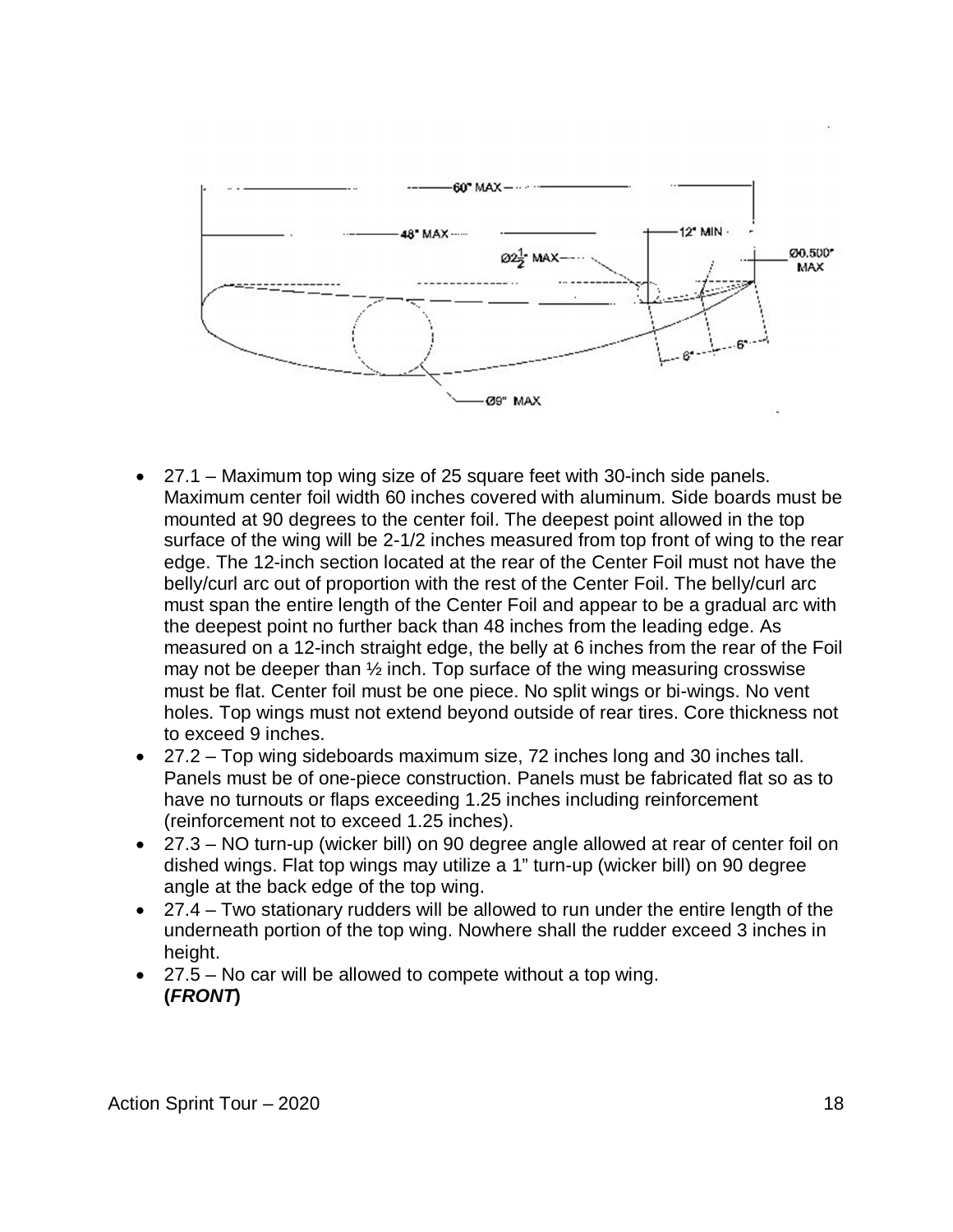

- 27.1 Maximum top wing size of 25 square feet with 30-inch side panels. Maximum center foil width 60 inches covered with aluminum. Side boards must be mounted at 90 degrees to the center foil. The deepest point allowed in the top surface of the wing will be 2-1/2 inches measured from top front of wing to the rear edge. The 12-inch section located at the rear of the Center Foil must not have the belly/curl arc out of proportion with the rest of the Center Foil. The belly/curl arc must span the entire length of the Center Foil and appear to be a gradual arc with the deepest point no further back than 48 inches from the leading edge. As measured on a 12-inch straight edge, the belly at 6 inches from the rear of the Foil may not be deeper than  $\frac{1}{2}$  inch. Top surface of the wing measuring crosswise must be flat. Center foil must be one piece. No split wings or bi-wings. No vent holes. Top wings must not extend beyond outside of rear tires. Core thickness not to exceed 9 inches.
- 27.2 Top wing sideboards maximum size, 72 inches long and 30 inches tall. Panels must be of one-piece construction. Panels must be fabricated flat so as to have no turnouts or flaps exceeding 1.25 inches including reinforcement (reinforcement not to exceed 1.25 inches).
- 27.3 NO turn-up (wicker bill) on 90 degree angle allowed at rear of center foil on dished wings. Flat top wings may utilize a 1" turn-up (wicker bill) on 90 degree angle at the back edge of the top wing.
- 27.4 Two stationary rudders will be allowed to run under the entire length of the underneath portion of the top wing. Nowhere shall the rudder exceed 3 inches in height.
- 27.5 No car will be allowed to compete without a top wing. **(***FRONT***)**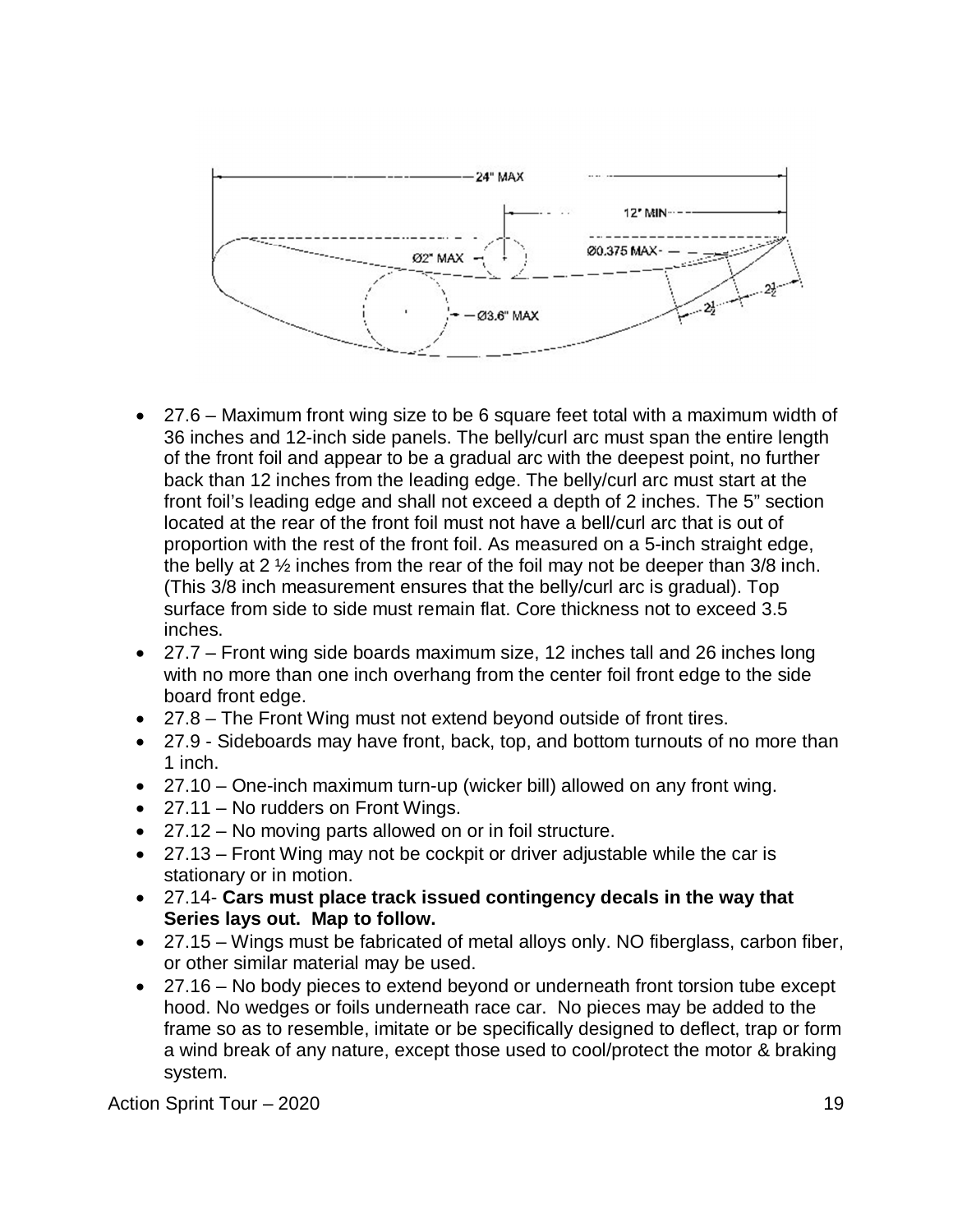

- 27.6 Maximum front wing size to be 6 square feet total with a maximum width of 36 inches and 12-inch side panels. The belly/curl arc must span the entire length of the front foil and appear to be a gradual arc with the deepest point, no further back than 12 inches from the leading edge. The belly/curl arc must start at the front foil's leading edge and shall not exceed a depth of 2 inches. The 5" section located at the rear of the front foil must not have a bell/curl arc that is out of proportion with the rest of the front foil. As measured on a 5-inch straight edge, the belly at 2  $\frac{1}{2}$  inches from the rear of the foil may not be deeper than 3/8 inch. (This 3/8 inch measurement ensures that the belly/curl arc is gradual). Top surface from side to side must remain flat. Core thickness not to exceed 3.5 inches.
- 27.7 Front wing side boards maximum size, 12 inches tall and 26 inches long with no more than one inch overhang from the center foil front edge to the side board front edge.
- 27.8 The Front Wing must not extend beyond outside of front tires.
- 27.9 Sideboards may have front, back, top, and bottom turnouts of no more than 1 inch.
- 27.10 One-inch maximum turn-up (wicker bill) allowed on any front wing.
- 27.11 No rudders on Front Wings.
- 27.12 No moving parts allowed on or in foil structure.
- 27.13 Front Wing may not be cockpit or driver adjustable while the car is stationary or in motion.
- 27.14- **Cars must place track issued contingency decals in the way that Series lays out. Map to follow.**
- 27.15 Wings must be fabricated of metal alloys only. NO fiberglass, carbon fiber, or other similar material may be used.
- 27.16 No body pieces to extend beyond or underneath front torsion tube except hood. No wedges or foils underneath race car. No pieces may be added to the frame so as to resemble, imitate or be specifically designed to deflect, trap or form a wind break of any nature, except those used to cool/protect the motor & braking system.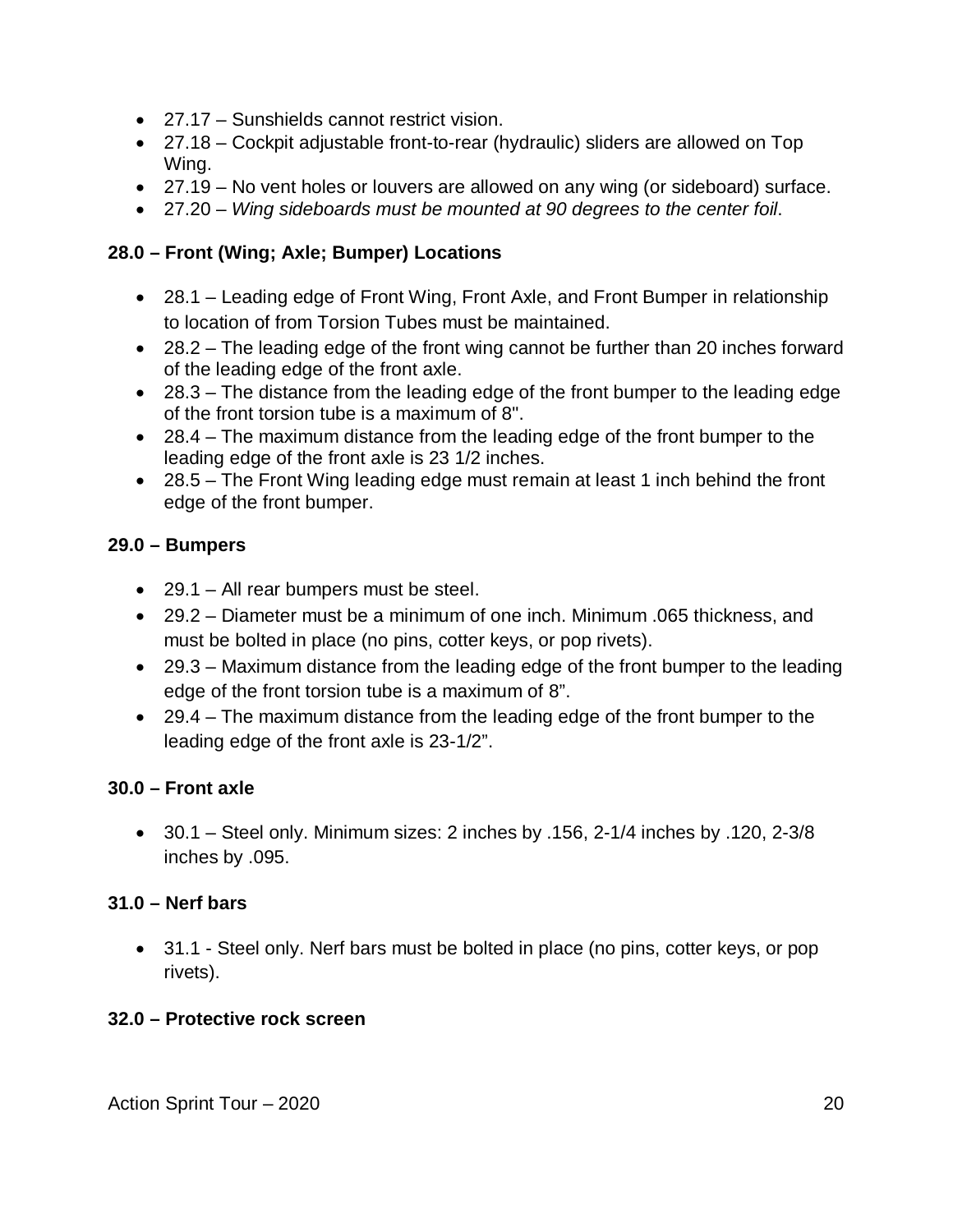- 27.17 Sunshields cannot restrict vision.
- 27.18 Cockpit adjustable front-to-rear (hydraulic) sliders are allowed on Top Wing.
- 27.19 No vent holes or louvers are allowed on any wing (or sideboard) surface.
- 27.20 *Wing sideboards must be mounted at 90 degrees to the center foil*.

### **28.0 – Front (Wing; Axle; Bumper) Locations**

- 28.1 Leading edge of Front Wing, Front Axle, and Front Bumper in relationship to location of from Torsion Tubes must be maintained.
- 28.2 The leading edge of the front wing cannot be further than 20 inches forward of the leading edge of the front axle.
- 28.3 The distance from the leading edge of the front bumper to the leading edge of the front torsion tube is a maximum of 8".
- 28.4 The maximum distance from the leading edge of the front bumper to the leading edge of the front axle is 23 1/2 inches.
- 28.5 The Front Wing leading edge must remain at least 1 inch behind the front edge of the front bumper.

#### **29.0 – Bumpers**

- 29.1 All rear bumpers must be steel.
- 29.2 Diameter must be a minimum of one inch. Minimum .065 thickness, and must be bolted in place (no pins, cotter keys, or pop rivets).
- 29.3 Maximum distance from the leading edge of the front bumper to the leading edge of the front torsion tube is a maximum of 8".
- 29.4 The maximum distance from the leading edge of the front bumper to the leading edge of the front axle is 23-1/2".

#### **30.0 – Front axle**

 $\bullet$  30.1 – Steel only. Minimum sizes: 2 inches by .156, 2-1/4 inches by .120, 2-3/8 inches by .095.

#### **31.0 – Nerf bars**

 31.1 - Steel only. Nerf bars must be bolted in place (no pins, cotter keys, or pop rivets).

#### **32.0 – Protective rock screen**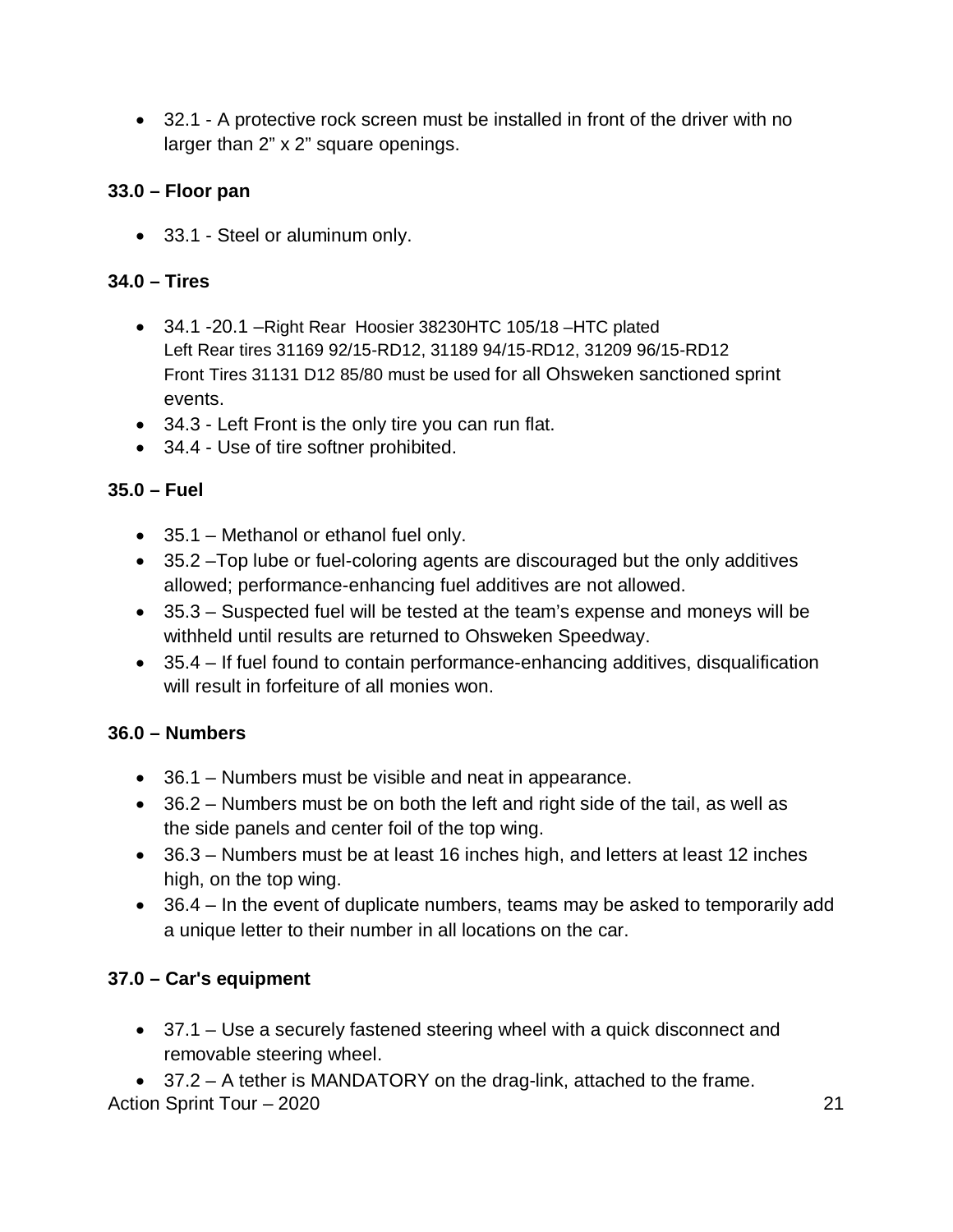32.1 - A protective rock screen must be installed in front of the driver with no larger than 2" x 2" square openings.

#### **33.0 – Floor pan**

33.1 - Steel or aluminum only.

#### **34.0 – Tires**

- 34.1 -20.1 –Right Rear Hoosier 38230HTC 105/18 –HTC plated Left Rear tires 31169 92/15-RD12, 31189 94/15-RD12, 31209 96/15-RD12 Front Tires 31131 D12 85/80 must be used for all Ohsweken sanctioned sprint events.
- 34.3 Left Front is the only tire you can run flat.
- 34.4 Use of tire softner prohibited.

#### **35.0 – Fuel**

- 35.1 Methanol or ethanol fuel only.
- 35.2 –Top lube or fuel-coloring agents are discouraged but the only additives allowed; performance-enhancing fuel additives are not allowed.
- 35.3 Suspected fuel will be tested at the team's expense and moneys will be withheld until results are returned to Ohsweken Speedway.
- 35.4 If fuel found to contain performance-enhancing additives, disqualification will result in forfeiture of all monies won.

#### **36.0 – Numbers**

- 36.1 Numbers must be visible and neat in appearance.
- 36.2 Numbers must be on both the left and right side of the tail, as well as the side panels and center foil of the top wing.
- 36.3 Numbers must be at least 16 inches high, and letters at least 12 inches high, on the top wing.
- 36.4 In the event of duplicate numbers, teams may be asked to temporarily add a unique letter to their number in all locations on the car.

#### **37.0 – Car's equipment**

 37.1 – Use a securely fastened steering wheel with a quick disconnect and removable steering wheel.

Action Sprint Tour – 2020 21 37.2 – A tether is MANDATORY on the drag-link, attached to the frame.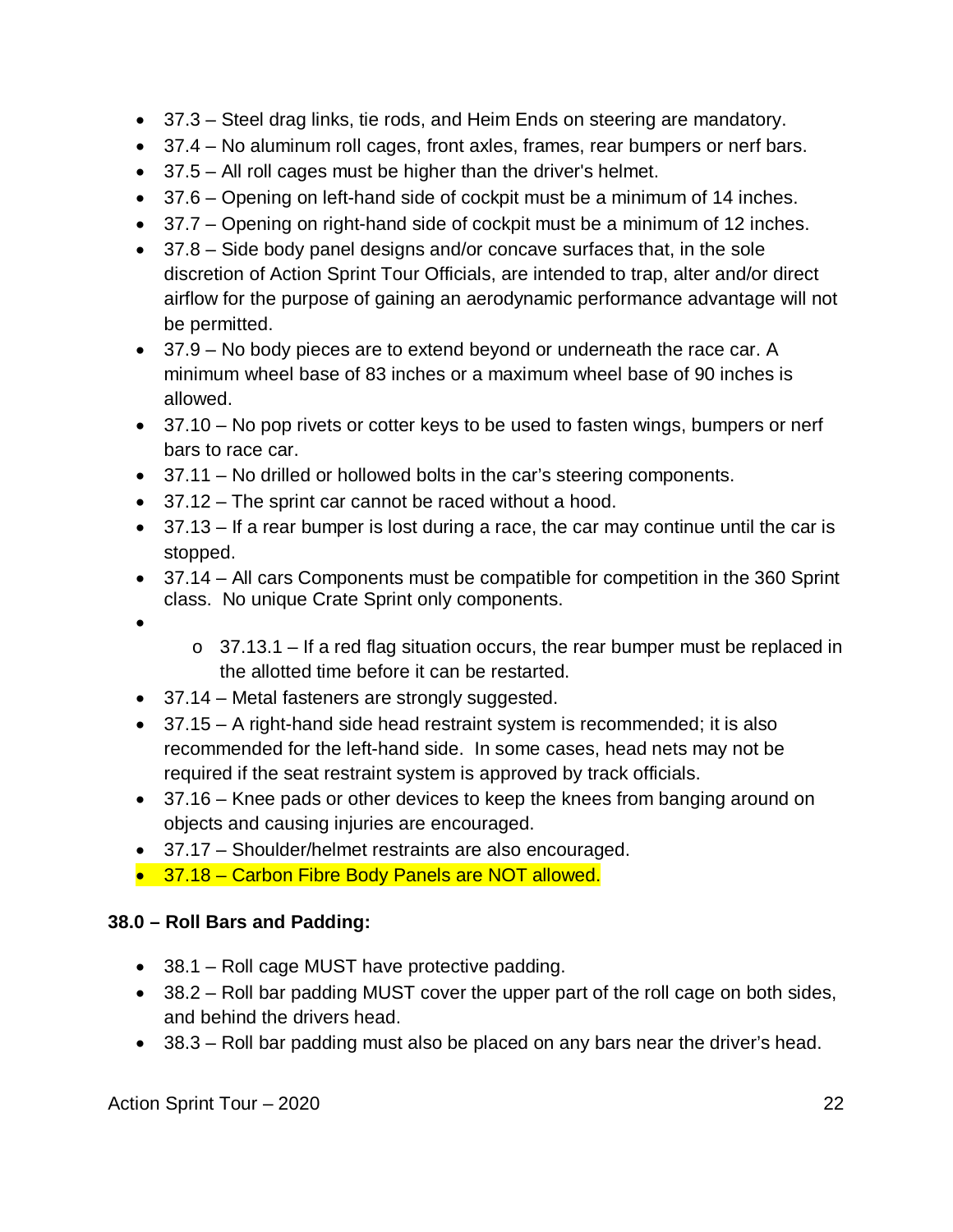- 37.3 Steel drag links, tie rods, and Heim Ends on steering are mandatory.
- 37.4 No aluminum roll cages, front axles, frames, rear bumpers or nerf bars.
- 37.5 All roll cages must be higher than the driver's helmet.
- 37.6 Opening on left-hand side of cockpit must be a minimum of 14 inches.
- 37.7 Opening on right-hand side of cockpit must be a minimum of 12 inches.
- 37.8 Side body panel designs and/or concave surfaces that, in the sole discretion of Action Sprint Tour Officials, are intended to trap, alter and/or direct airflow for the purpose of gaining an aerodynamic performance advantage will not be permitted.
- 37.9 No body pieces are to extend beyond or underneath the race car. A minimum wheel base of 83 inches or a maximum wheel base of 90 inches is allowed.
- 37.10 No pop rivets or cotter keys to be used to fasten wings, bumpers or nerf bars to race car.
- 37.11 No drilled or hollowed bolts in the car's steering components.
- 37.12 The sprint car cannot be raced without a hood.
- 37.13 If a rear bumper is lost during a race, the car may continue until the car is stopped.
- 37.14 All cars Components must be compatible for competition in the 360 Sprint class. No unique Crate Sprint only components.
- $\bullet$
- $\circ$  37.13.1 If a red flag situation occurs, the rear bumper must be replaced in the allotted time before it can be restarted.
- 37.14 Metal fasteners are strongly suggested.
- 37.15 A right-hand side head restraint system is recommended; it is also recommended for the left-hand side. In some cases, head nets may not be required if the seat restraint system is approved by track officials.
- 37.16 Knee pads or other devices to keep the knees from banging around on objects and causing injuries are encouraged.
- 37.17 Shoulder/helmet restraints are also encouraged.
- 37.18 Carbon Fibre Body Panels are NOT allowed.

#### **38.0 – Roll Bars and Padding:**

- 38.1 Roll cage MUST have protective padding.
- 38.2 Roll bar padding MUST cover the upper part of the roll cage on both sides, and behind the drivers head.
- 38.3 Roll bar padding must also be placed on any bars near the driver's head.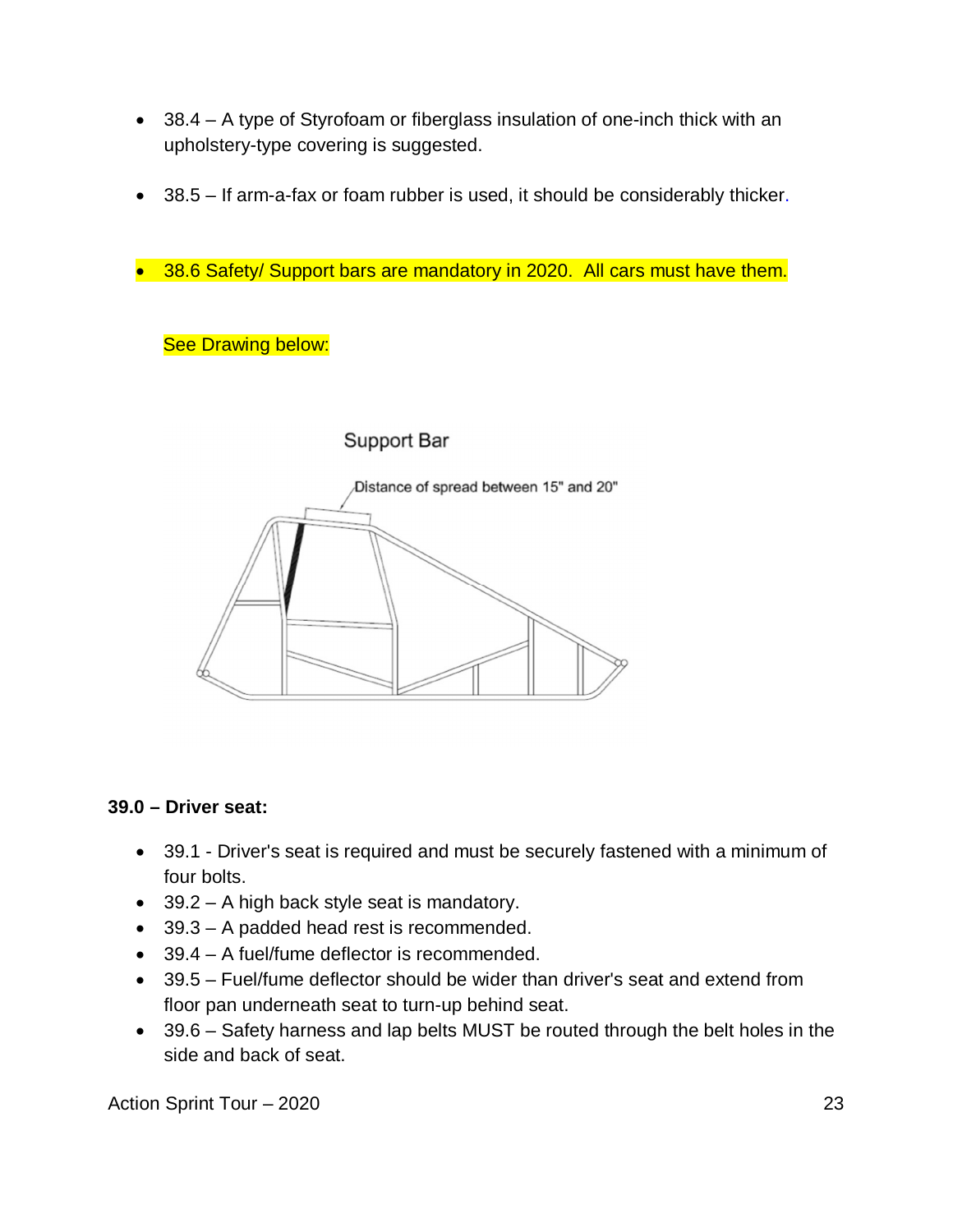- 38.4 A type of Styrofoam or fiberglass insulation of one-inch thick with an upholstery-type covering is suggested.
- 38.5 If arm-a-fax or foam rubber is used, it should be considerably thicker.
- 38.6 Safety/ Support bars are mandatory in 2020. All cars must have them.

#### **See Drawing below:**

#### Support Bar



#### **39.0 – Driver seat:**

- 39.1 Driver's seat is required and must be securely fastened with a minimum of four bolts.
- 39.2 A high back style seat is mandatory.
- 39.3 A padded head rest is recommended.
- 39.4 A fuel/fume deflector is recommended.
- 39.5 Fuel/fume deflector should be wider than driver's seat and extend from floor pan underneath seat to turn-up behind seat.
- 39.6 Safety harness and lap belts MUST be routed through the belt holes in the side and back of seat.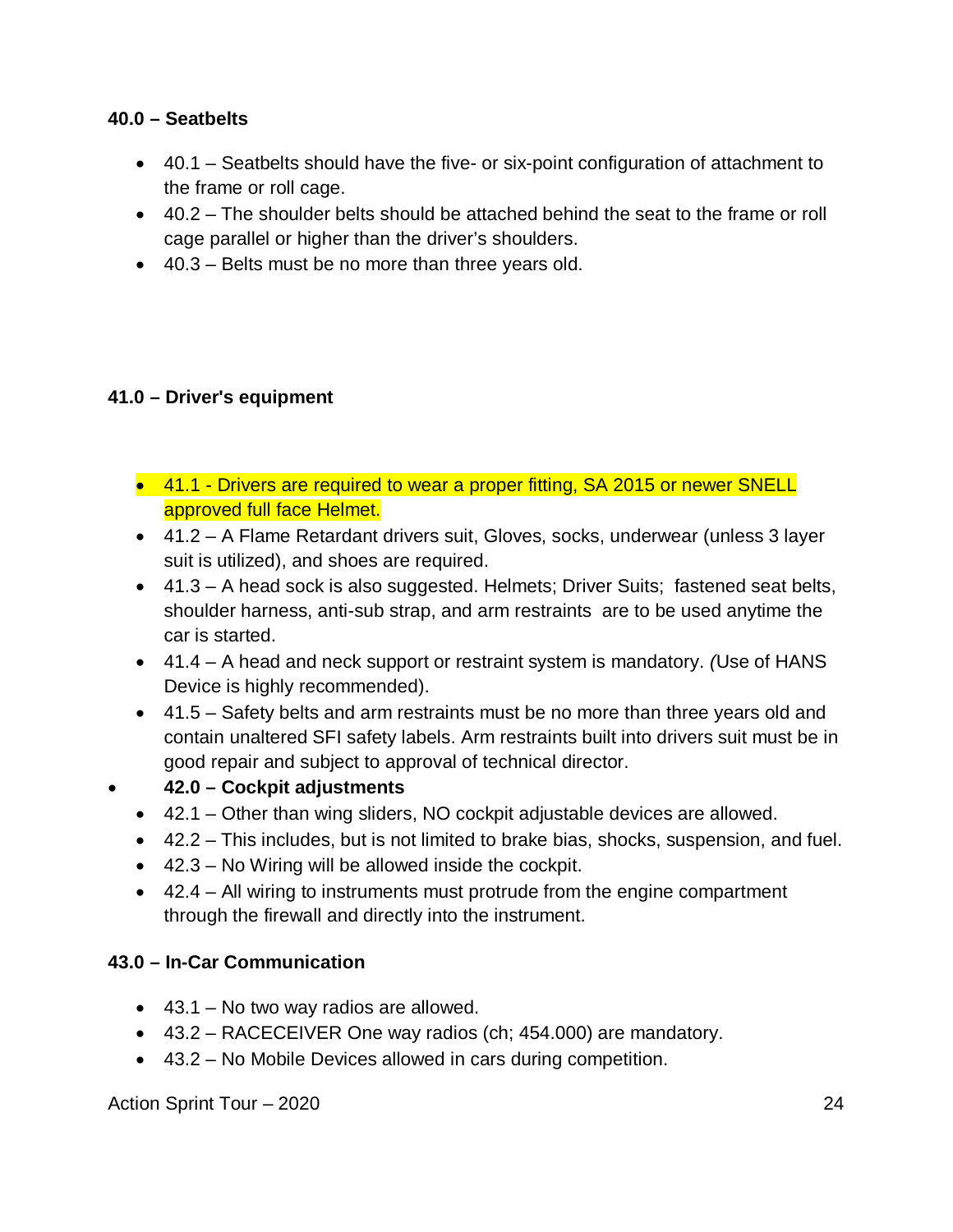#### **40.0 – Seatbelts**

- 40.1 Seatbelts should have the five- or six-point configuration of attachment to the frame or roll cage.
- 40.2 The shoulder belts should be attached behind the seat to the frame or roll cage parallel or higher than the driver's shoulders.
- 40.3 Belts must be no more than three years old.

#### **41.0 – Driver's equipment**

- 41.1 Drivers are required to wear a proper fitting, SA 2015 or newer SNELL approved full face Helmet.
- 41.2 A Flame Retardant drivers suit, Gloves, socks, underwear (unless 3 layer suit is utilized), and shoes are required.
- 41.3 A head sock is also suggested. Helmets; Driver Suits; fastened seat belts, shoulder harness, anti-sub strap, and arm restraints are to be used anytime the car is started.
- 41.4 A head and neck support or restraint system is mandatory. *(*Use of HANS Device is highly recommended).
- 41.5 Safety belts and arm restraints must be no more than three years old and contain unaltered SFI safety labels. Arm restraints built into drivers suit must be in good repair and subject to approval of technical director.

#### **42.0 – Cockpit adjustments**

- 42.1 Other than wing sliders, NO cockpit adjustable devices are allowed.
- 42.2 This includes, but is not limited to brake bias, shocks, suspension, and fuel.
- $\bullet$  42.3 No Wiring will be allowed inside the cockpit.
- 42.4 All wiring to instruments must protrude from the engine compartment through the firewall and directly into the instrument.

#### **43.0 – In-Car Communication**

- $\bullet$  43.1 No two way radios are allowed.
- 43.2 RACECEIVER One way radios (ch; 454.000) are mandatory.
- 43.2 No Mobile Devices allowed in cars during competition.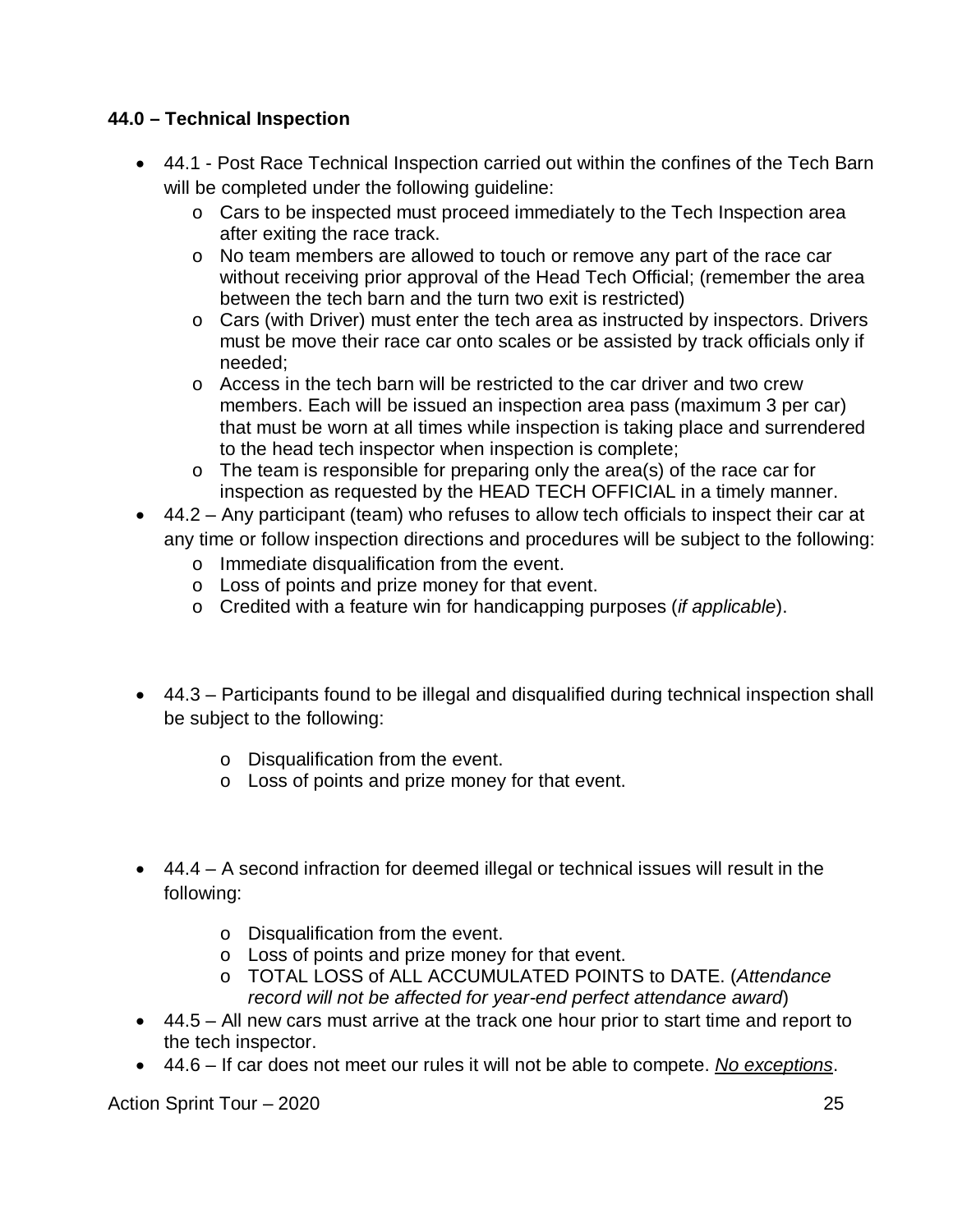#### **44.0 – Technical Inspection**

- 44.1 Post Race Technical Inspection carried out within the confines of the Tech Barn will be completed under the following guideline:
	- o Cars to be inspected must proceed immediately to the Tech Inspection area after exiting the race track.
	- o No team members are allowed to touch or remove any part of the race car without receiving prior approval of the Head Tech Official; (remember the area between the tech barn and the turn two exit is restricted)
	- o Cars (with Driver) must enter the tech area as instructed by inspectors. Drivers must be move their race car onto scales or be assisted by track officials only if needed;
	- o Access in the tech barn will be restricted to the car driver and two crew members. Each will be issued an inspection area pass (maximum 3 per car) that must be worn at all times while inspection is taking place and surrendered to the head tech inspector when inspection is complete;
	- o The team is responsible for preparing only the area(s) of the race car for inspection as requested by the HEAD TECH OFFICIAL in a timely manner.
- 44.2 Any participant (team) who refuses to allow tech officials to inspect their car at any time or follow inspection directions and procedures will be subject to the following:
	- o Immediate disqualification from the event.
	- o Loss of points and prize money for that event.
	- o Credited with a feature win for handicapping purposes (*if applicable*).
- 44.3 Participants found to be illegal and disqualified during technical inspection shall be subject to the following:
	- o Disqualification from the event.
	- o Loss of points and prize money for that event.
- 44.4 A second infraction for deemed illegal or technical issues will result in the following:
	- o Disqualification from the event.
	- o Loss of points and prize money for that event.
	- o TOTAL LOSS of ALL ACCUMULATED POINTS to DATE. (*Attendance record will not be affected for year-end perfect attendance award*)
- 44.5 All new cars must arrive at the track one hour prior to start time and report to the tech inspector.
- 44.6 If car does not meet our rules it will not be able to compete. *No exceptions*.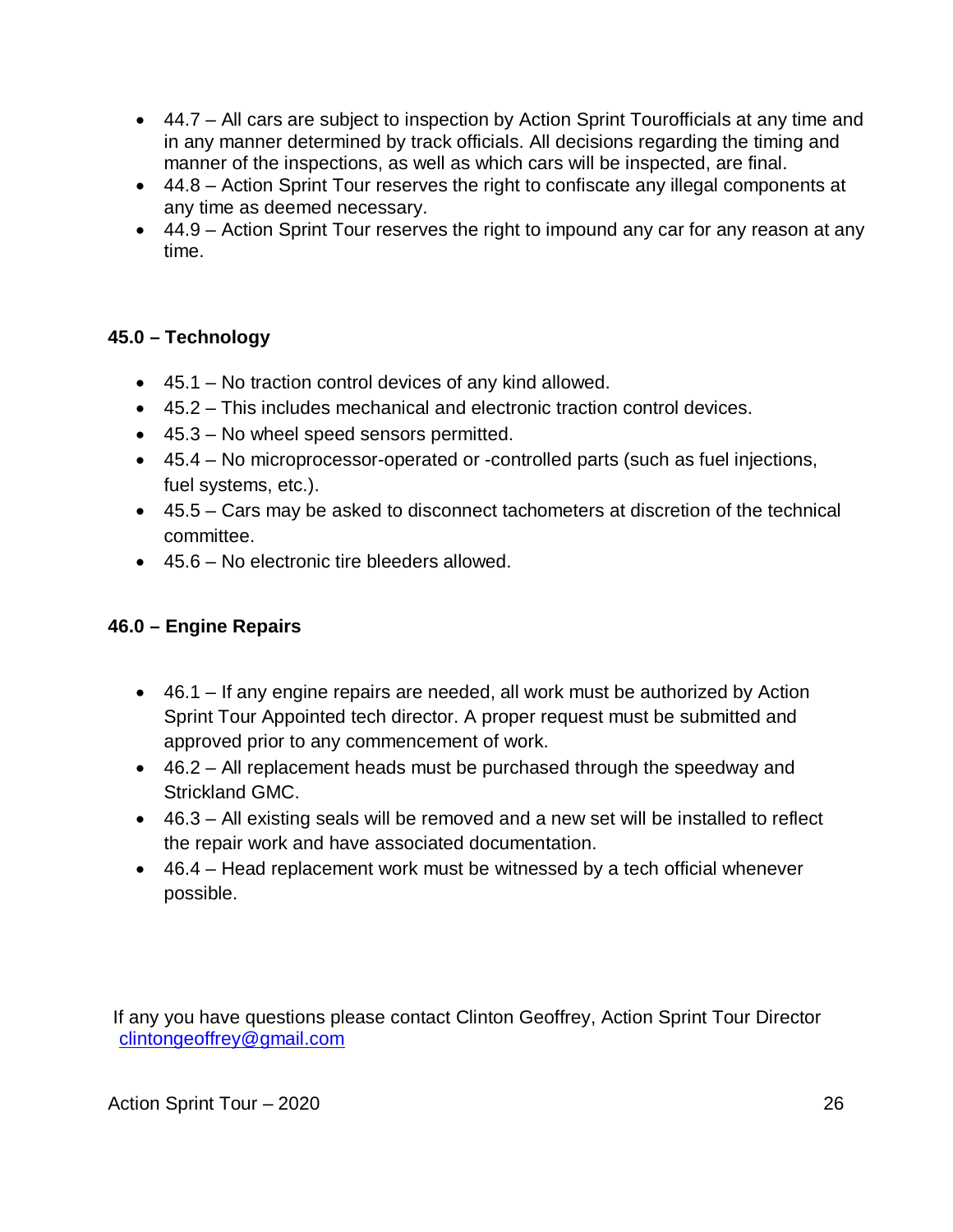- 44.7 All cars are subject to inspection by Action Sprint Tourofficials at any time and in any manner determined by track officials. All decisions regarding the timing and manner of the inspections, as well as which cars will be inspected, are final.
- 44.8 Action Sprint Tour reserves the right to confiscate any illegal components at any time as deemed necessary.
- 44.9 Action Sprint Tour reserves the right to impound any car for any reason at any time.

#### **45.0 – Technology**

- 45.1 No traction control devices of any kind allowed.
- 45.2 This includes mechanical and electronic traction control devices.
- 45.3 No wheel speed sensors permitted.
- 45.4 No microprocessor-operated or -controlled parts (such as fuel injections, fuel systems, etc.).
- 45.5 Cars may be asked to disconnect tachometers at discretion of the technical committee.
- 45.6 No electronic tire bleeders allowed.

#### **46.0 – Engine Repairs**

- 46.1 If any engine repairs are needed, all work must be authorized by Action Sprint Tour Appointed tech director. A proper request must be submitted and approved prior to any commencement of work.
- 46.2 All replacement heads must be purchased through the speedway and Strickland GMC.
- 46.3 All existing seals will be removed and a new set will be installed to reflect the repair work and have associated documentation.
- 46.4 Head replacement work must be witnessed by a tech official whenever possible.

If any you have questions please contact Clinton Geoffrey, Action Sprint Tour Director [clintongeoffrey@gmail.com](mailto:clintongeoffrey@gmail.com)